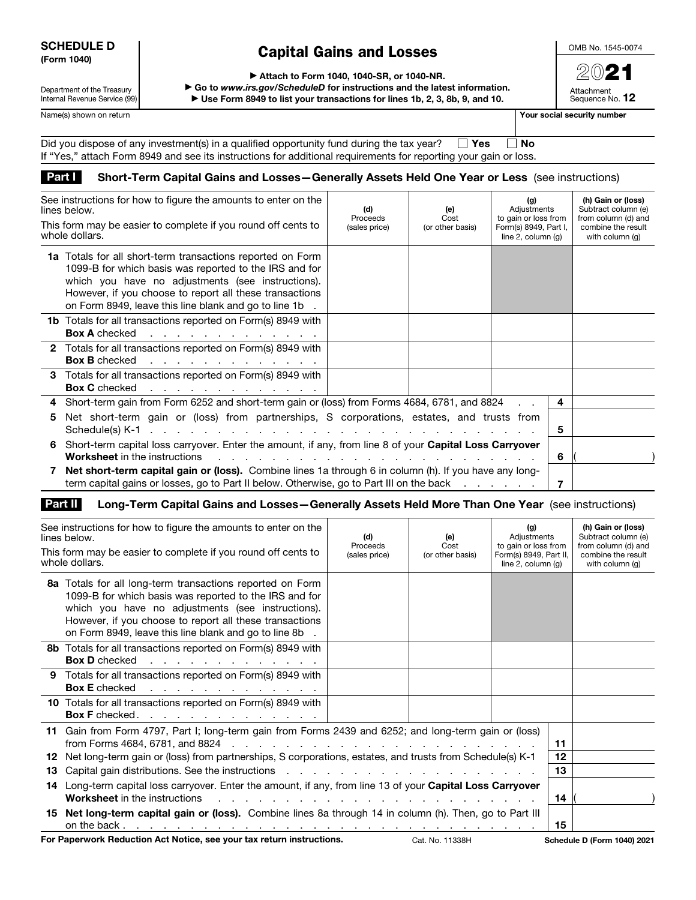#### SCHEDULE D (Form 1040)

#### Capital Gains and Losses

OMB No. 1545-0074

2021 Attachment Sequence No. 12

Department of the Treasury Internal Revenue Service (99) ▶ Attach to Form 1040, 1040-SR, or 1040-NR.

▶ Go to *www.irs.gov/ScheduleD* for instructions and the latest information.

▶ Use Form 8949 to list your transactions for lines 1b, 2, 3, 8b, 9, and 10.

Name(s) shown on return **Your social security number Your social security number** 

| Did you dispose of any investment(s) in a qualified opportunity fund during the tax year? $\square$ Yes          | ∣ ∣No |
|------------------------------------------------------------------------------------------------------------------|-------|
| If "Yes," attach Form 8949 and see its instructions for additional requirements for reporting your gain or loss. |       |

#### Part I Short-Term Capital Gains and Losses - Generally Assets Held One Year or Less (see instructions)

| See instructions for how to figure the amounts to enter on the<br>lines below.<br>This form may be easier to complete if you round off cents to<br>whole dollars.                                                                                                                              | (d)<br>Proceeds<br>(sales price) | (e)<br>Cost<br>(or other basis) | (g)<br>Adjustments<br>to gain or loss from<br>Form(s) 8949, Part I,<br>line $2$ , column $(q)$ |   | (h) Gain or (loss)<br>Subtract column (e)<br>from column (d) and<br>combine the result<br>with column (q) |
|------------------------------------------------------------------------------------------------------------------------------------------------------------------------------------------------------------------------------------------------------------------------------------------------|----------------------------------|---------------------------------|------------------------------------------------------------------------------------------------|---|-----------------------------------------------------------------------------------------------------------|
| 1a Totals for all short-term transactions reported on Form<br>1099-B for which basis was reported to the IRS and for<br>which you have no adjustments (see instructions).<br>However, if you choose to report all these transactions<br>on Form 8949, leave this line blank and go to line 1b. |                                  |                                 |                                                                                                |   |                                                                                                           |
| <b>1b</b> Totals for all transactions reported on Form(s) 8949 with<br><b>Box A</b> checked<br>the contract of the contract of the contract of                                                                                                                                                 |                                  |                                 |                                                                                                |   |                                                                                                           |
| 2 Totals for all transactions reported on Form(s) 8949 with<br><b>Box B</b> checked                                                                                                                                                                                                            |                                  |                                 |                                                                                                |   |                                                                                                           |
| 3 Totals for all transactions reported on Form(s) 8949 with<br><b>Box C</b> checked<br>the contract of the contract of the contract of                                                                                                                                                         |                                  |                                 |                                                                                                |   |                                                                                                           |
| Short-term gain from Form 6252 and short-term gain or (loss) from Forms 4684, 6781, and 8824<br>4                                                                                                                                                                                              |                                  |                                 |                                                                                                | 4 |                                                                                                           |
| Net short-term gain or (loss) from partnerships, S corporations, estates, and trusts from<br>5                                                                                                                                                                                                 |                                  |                                 |                                                                                                | 5 |                                                                                                           |
| Short-term capital loss carryover. Enter the amount, if any, from line 8 of your Capital Loss Carryover<br>6.<br><b>Worksheet</b> in the instructions<br>the contract of the contract of the contract of the contract of the contract of the contract of the contract of                       |                                  |                                 |                                                                                                | 6 |                                                                                                           |
| Net short-term capital gain or (loss). Combine lines 1a through 6 in column (h). If you have any long-<br>term capital gains or losses, go to Part II below. Otherwise, go to Part III on the back                                                                                             |                                  |                                 |                                                                                                | 7 |                                                                                                           |

#### Part II Long-Term Capital Gains and Losses-Generally Assets Held More Than One Year (see instructions)

|           | See instructions for how to figure the amounts to enter on the<br>lines below.<br>This form may be easier to complete if you round off cents to<br>whole dollars.                                                                                                                                                                          | (d)<br>Proceeds<br>(sales price) | (e)<br>Cost<br>(or other basis) | (g)<br>Adjustments<br>to gain or loss from<br>Form(s) 8949, Part II,<br>line $2$ , column $(q)$ |          | (h) Gain or (loss)<br>Subtract column (e)<br>from column (d) and<br>combine the result<br>with column (q) |
|-----------|--------------------------------------------------------------------------------------------------------------------------------------------------------------------------------------------------------------------------------------------------------------------------------------------------------------------------------------------|----------------------------------|---------------------------------|-------------------------------------------------------------------------------------------------|----------|-----------------------------------------------------------------------------------------------------------|
|           | 8a Totals for all long-term transactions reported on Form<br>1099-B for which basis was reported to the IRS and for<br>which you have no adjustments (see instructions).<br>However, if you choose to report all these transactions<br>on Form 8949, leave this line blank and go to line 8b.                                              |                                  |                                 |                                                                                                 |          |                                                                                                           |
|           | <b>8b</b> Totals for all transactions reported on Form(s) 8949 with<br>Box D checked                                                                                                                                                                                                                                                       |                                  |                                 |                                                                                                 |          |                                                                                                           |
|           | 9 Totals for all transactions reported on Form(s) 8949 with<br><b>Box E</b> checked<br>the contract of the contract of the contract of                                                                                                                                                                                                     |                                  |                                 |                                                                                                 |          |                                                                                                           |
|           | 10 Totals for all transactions reported on Form(s) 8949 with<br>Box F checked.                                                                                                                                                                                                                                                             |                                  |                                 |                                                                                                 |          |                                                                                                           |
|           | 11 Gain from Form 4797, Part I; long-term gain from Forms 2439 and 6252; and long-term gain or (loss)                                                                                                                                                                                                                                      |                                  |                                 |                                                                                                 | 11       |                                                                                                           |
| 12.<br>13 | Net long-term gain or (loss) from partnerships, S corporations, estates, and trusts from Schedule(s) K-1<br>Capital gain distributions. See the instructions enter the contract of the contract of the contract of the contract of the contract of the contract of the contract of the contract of the contract of the contract of the con |                                  |                                 |                                                                                                 | 12<br>13 |                                                                                                           |
|           | 14 Long-term capital loss carryover. Enter the amount, if any, from line 13 of your Capital Loss Carryover                                                                                                                                                                                                                                 |                                  |                                 |                                                                                                 |          |                                                                                                           |
|           | <b>Worksheet</b> in the instructions<br>the contract of the contract of the contract of the contract of the contract of the contract of the contract of                                                                                                                                                                                    |                                  |                                 |                                                                                                 | 14       |                                                                                                           |
|           | 15 Net long-term capital gain or (loss). Combine lines 8a through 14 in column (h). Then, go to Part III                                                                                                                                                                                                                                   |                                  |                                 |                                                                                                 | 15       |                                                                                                           |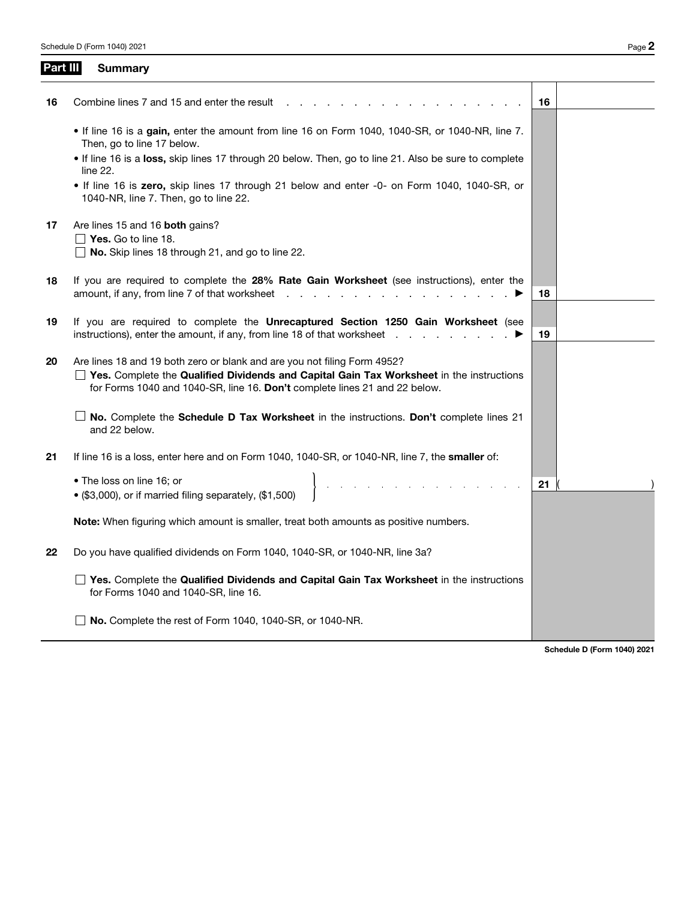| Part III | <b>Summary</b>                                                                                                                                                                                                                                            |    |
|----------|-----------------------------------------------------------------------------------------------------------------------------------------------------------------------------------------------------------------------------------------------------------|----|
| 16       | Combine lines 7 and 15 and enter the result                                                                                                                                                                                                               | 16 |
|          | • If line 16 is a gain, enter the amount from line 16 on Form 1040, 1040-SR, or 1040-NR, line 7.<br>Then, go to line 17 below.                                                                                                                            |    |
|          | If line 16 is a loss, skip lines 17 through 20 below. Then, go to line 21. Also be sure to complete<br>line 22.                                                                                                                                           |    |
|          | . If line 16 is zero, skip lines 17 through 21 below and enter -0- on Form 1040, 1040-SR, or<br>1040-NR, line 7. Then, go to line 22.                                                                                                                     |    |
| 17       | Are lines 15 and 16 both gains?<br>$\Box$ Yes. Go to line 18.                                                                                                                                                                                             |    |
|          | $\Box$ No. Skip lines 18 through 21, and go to line 22.                                                                                                                                                                                                   |    |
| 18       | If you are required to complete the 28% Rate Gain Worksheet (see instructions), enter the<br>amount, if any, from line 7 of that worksheet                                                                                                                | 18 |
| 19       | If you are required to complete the Unrecaptured Section 1250 Gain Worksheet (see<br>instructions), enter the amount, if any, from line 18 of that worksheet                                                                                              | 19 |
| 20       | Are lines 18 and 19 both zero or blank and are you not filing Form 4952?<br>$\Box$ Yes. Complete the Qualified Dividends and Capital Gain Tax Worksheet in the instructions<br>for Forms 1040 and 1040-SR, line 16. Don't complete lines 21 and 22 below. |    |
|          | No. Complete the Schedule D Tax Worksheet in the instructions. Don't complete lines 21<br>and 22 below.                                                                                                                                                   |    |
| 21       | If line 16 is a loss, enter here and on Form 1040, 1040-SR, or 1040-NR, line 7, the smaller of:                                                                                                                                                           |    |
|          | $\hat{A}$ , and $\hat{A}$ , and $\hat{A}$ , and $\hat{A}$ , and $\hat{A}$ , and $\hat{A}$ , and $\hat{A}$<br>• The loss on line 16; or<br>• (\$3,000), or if married filing separately, (\$1,500)                                                         | 21 |
|          | <b>Note:</b> When figuring which amount is smaller, treat both amounts as positive numbers.                                                                                                                                                               |    |
| 22       | Do you have qualified dividends on Form 1040, 1040-SR, or 1040-NR, line 3a?                                                                                                                                                                               |    |
|          | $\Box$ Yes. Complete the Qualified Dividends and Capital Gain Tax Worksheet in the instructions<br>for Forms 1040 and 1040-SR, line 16.                                                                                                                   |    |
|          | No. Complete the rest of Form 1040, 1040-SR, or 1040-NR.                                                                                                                                                                                                  |    |

Schedule D (Form 1040) 2021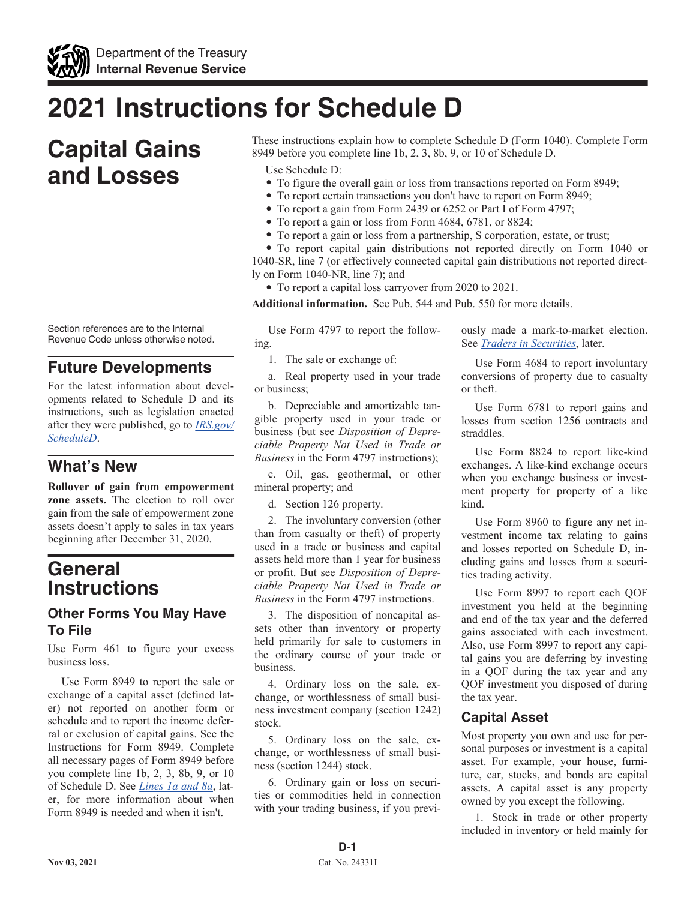

## **2021 Instructions for Schedule D**

## **Capital Gains and Losses**

Section references are to the Internal Revenue Code unless otherwise noted.

#### **Future Developments**

For the latest information about developments related to Schedule D and its instructions, such as legislation enacted after they were published, go to *[IRS.gov/](https://www.irs.gov/scheduled) [ScheduleD](https://www.irs.gov/scheduled)*.

#### **What's New**

**Rollover of gain from empowerment zone assets.** The election to roll over gain from the sale of empowerment zone assets doesn't apply to sales in tax years beginning after December 31, 2020.

### **General Instructions**

#### **Other Forms You May Have To File**

Use Form 461 to figure your excess business loss.

Use Form 8949 to report the sale or exchange of a capital asset (defined later) not reported on another form or schedule and to report the income deferral or exclusion of capital gains. See the Instructions for Form 8949. Complete all necessary pages of Form 8949 before you complete line 1b, 2, 3, 8b, 9, or 10 of Schedule D. See *Lines 1a and 8a*, later, for more information about when Form 8949 is needed and when it isn't.

These instructions explain how to complete Schedule D (Form 1040). Complete Form 8949 before you complete line 1b, 2, 3, 8b, 9, or 10 of Schedule D.

Use Schedule D:

- To figure the overall gain or loss from transactions reported on Form 8949;
- To report certain transactions you don't have to report on Form 8949;
- To report a gain from Form 2439 or 6252 or Part I of Form 4797;
- To report a gain or loss from Form 4684, 6781, or 8824;
- To report a gain or loss from a partnership, S corporation, estate, or trust;

• To report capital gain distributions not reported directly on Form 1040 or 1040-SR, line 7 (or effectively connected capital gain distributions not reported directly on Form 1040-NR, line 7); and

• To report a capital loss carryover from 2020 to 2021.

**Additional information.** See Pub. 544 and Pub. 550 for more details.

Use Form 4797 to report the following.

1. The sale or exchange of:

a. Real property used in your trade or business;

b. Depreciable and amortizable tangible property used in your trade or business (but see *Disposition of Depreciable Property Not Used in Trade or Business* in the Form 4797 instructions);

c. Oil, gas, geothermal, or other mineral property; and

d. Section 126 property.

2. The involuntary conversion (other than from casualty or theft) of property used in a trade or business and capital assets held more than 1 year for business or profit. But see *Disposition of Depreciable Property Not Used in Trade or Business* in the Form 4797 instructions.

3. The disposition of noncapital assets other than inventory or property held primarily for sale to customers in the ordinary course of your trade or business.

4. Ordinary loss on the sale, exchange, or worthlessness of small business investment company (section 1242) stock.

5. Ordinary loss on the sale, exchange, or worthlessness of small business (section 1244) stock.

6. Ordinary gain or loss on securities or commodities held in connection with your trading business, if you previously made a mark-to-market election. See *Traders in Securities*, later.

Use Form 4684 to report involuntary conversions of property due to casualty or theft.

Use Form 6781 to report gains and losses from section 1256 contracts and straddles.

Use Form 8824 to report like-kind exchanges. A like-kind exchange occurs when you exchange business or investment property for property of a like kind.

Use Form 8960 to figure any net investment income tax relating to gains and losses reported on Schedule D, including gains and losses from a securities trading activity.

Use Form 8997 to report each QOF investment you held at the beginning and end of the tax year and the deferred gains associated with each investment. Also, use Form 8997 to report any capital gains you are deferring by investing in a QOF during the tax year and any QOF investment you disposed of during the tax year.

#### **Capital Asset**

Most property you own and use for personal purposes or investment is a capital asset. For example, your house, furniture, car, stocks, and bonds are capital assets. A capital asset is any property owned by you except the following.

1. Stock in trade or other property included in inventory or held mainly for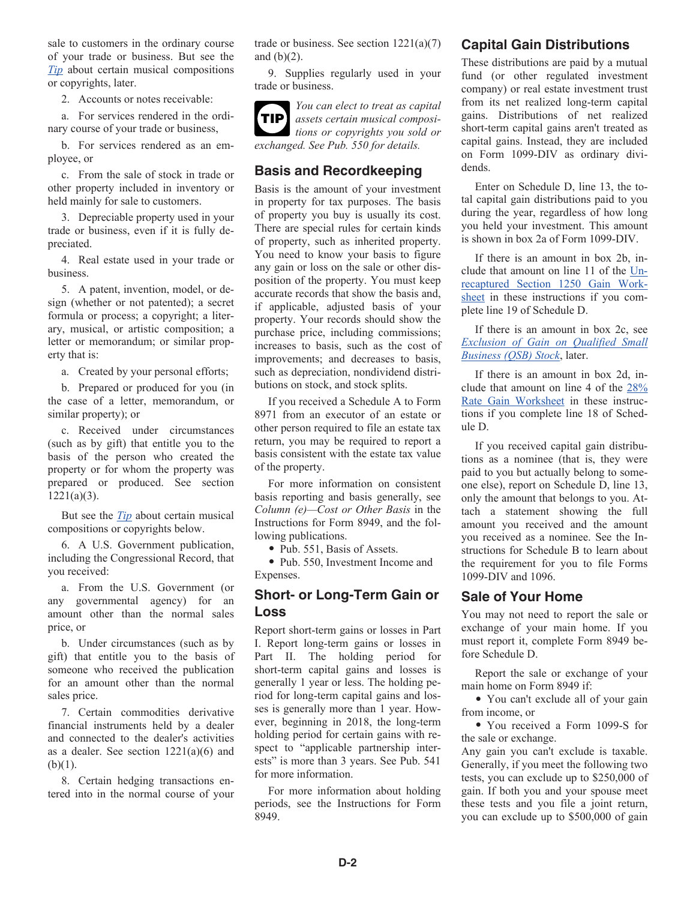sale to customers in the ordinary course of your trade or business. But see the *Tip* about certain musical compositions or copyrights, later.

2. Accounts or notes receivable:

a. For services rendered in the ordinary course of your trade or business,

b. For services rendered as an employee, or

c. From the sale of stock in trade or other property included in inventory or held mainly for sale to customers.

3. Depreciable property used in your trade or business, even if it is fully depreciated.

4. Real estate used in your trade or business.

5. A patent, invention, model, or design (whether or not patented); a secret formula or process; a copyright; a literary, musical, or artistic composition; a letter or memorandum; or similar property that is:

a. Created by your personal efforts;

b. Prepared or produced for you (in the case of a letter, memorandum, or similar property); or

c. Received under circumstances (such as by gift) that entitle you to the basis of the person who created the property or for whom the property was prepared or produced. See section  $1221(a)(3)$ .

But see the *Tip* about certain musical compositions or copyrights below.

6. A U.S. Government publication, including the Congressional Record, that you received:

a. From the U.S. Government (or any governmental agency) for an amount other than the normal sales price, or

b. Under circumstances (such as by gift) that entitle you to the basis of someone who received the publication for an amount other than the normal sales price.

7. Certain commodities derivative financial instruments held by a dealer and connected to the dealer's activities as a dealer. See section  $1221(a)(6)$  and  $(b)(1)$ .

8. Certain hedging transactions entered into in the normal course of your trade or business. See section  $1221(a)(7)$ and  $(b)(2)$ .

9. Supplies regularly used in your trade or business.



#### *You can elect to treat as capital assets certain musical compositions or copyrights you sold or exchanged. See Pub. 550 for details.*

#### **Basis and Recordkeeping**

Basis is the amount of your investment in property for tax purposes. The basis of property you buy is usually its cost. There are special rules for certain kinds of property, such as inherited property. You need to know your basis to figure any gain or loss on the sale or other disposition of the property. You must keep accurate records that show the basis and, if applicable, adjusted basis of your property. Your records should show the purchase price, including commissions; increases to basis, such as the cost of improvements; and decreases to basis, such as depreciation, nondividend distributions on stock, and stock splits.

If you received a Schedule A to Form 8971 from an executor of an estate or other person required to file an estate tax return, you may be required to report a basis consistent with the estate tax value of the property.

For more information on consistent basis reporting and basis generally, see *Column (e)—Cost or Other Basis* in the Instructions for Form 8949, and the following publications.

• Pub. 551, Basis of Assets.

• Pub. 550, Investment Income and Expenses.

#### **Short- or Long-Term Gain or Loss**

Report short-term gains or losses in Part I. Report long-term gains or losses in Part II. The holding period for short-term capital gains and losses is generally 1 year or less. The holding period for long-term capital gains and losses is generally more than 1 year. However, beginning in 2018, the long-term holding period for certain gains with respect to "applicable partnership interests" is more than 3 years. See Pub. 541 for more information.

For more information about holding periods, see the Instructions for Form 8949.

#### **Capital Gain Distributions**

These distributions are paid by a mutual fund (or other regulated investment company) or real estate investment trust from its net realized long-term capital gains. Distributions of net realized short-term capital gains aren't treated as capital gains. Instead, they are included on Form 1099-DIV as ordinary dividends.

Enter on Schedule D, line 13, the total capital gain distributions paid to you during the year, regardless of how long you held your investment. This amount is shown in box 2a of Form 1099-DIV.

If there is an amount in box 2b, include that amount on line 11 of the Unrecaptured Section 1250 Gain Worksheet in these instructions if you complete line 19 of Schedule D.

If there is an amount in box 2c, see *Exclusion of Gain on Qualified Small Business (QSB) Stock*, later.

If there is an amount in box 2d, include that amount on line 4 of the 28% Rate Gain Worksheet in these instructions if you complete line 18 of Schedule D.

If you received capital gain distributions as a nominee (that is, they were paid to you but actually belong to someone else), report on Schedule D, line 13, only the amount that belongs to you. Attach a statement showing the full amount you received and the amount you received as a nominee. See the Instructions for Schedule B to learn about the requirement for you to file Forms 1099-DIV and 1096.

#### **Sale of Your Home**

You may not need to report the sale or exchange of your main home. If you must report it, complete Form 8949 before Schedule D.

Report the sale or exchange of your main home on Form 8949 if:

• You can't exclude all of your gain from income, or

• You received a Form 1099-S for the sale or exchange.

Any gain you can't exclude is taxable. Generally, if you meet the following two tests, you can exclude up to \$250,000 of gain. If both you and your spouse meet these tests and you file a joint return, you can exclude up to \$500,000 of gain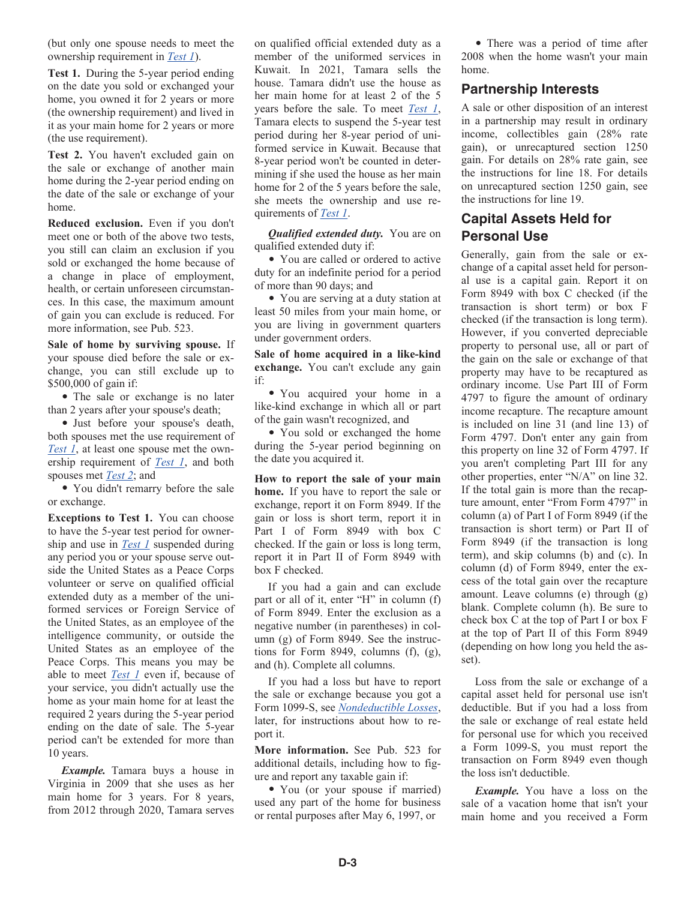(but only one spouse needs to meet the ownership requirement in *Test 1*).

**Test 1.** During the 5-year period ending on the date you sold or exchanged your home, you owned it for 2 years or more (the ownership requirement) and lived in it as your main home for 2 years or more (the use requirement).

**Test 2.** You haven't excluded gain on the sale or exchange of another main home during the 2-year period ending on the date of the sale or exchange of your home.

**Reduced exclusion.** Even if you don't meet one or both of the above two tests, you still can claim an exclusion if you sold or exchanged the home because of a change in place of employment, health, or certain unforeseen circumstances. In this case, the maximum amount of gain you can exclude is reduced. For more information, see Pub. 523.

**Sale of home by surviving spouse.** If your spouse died before the sale or exchange, you can still exclude up to \$500,000 of gain if:

• The sale or exchange is no later than 2 years after your spouse's death;

• Just before your spouse's death, both spouses met the use requirement of *Test 1*, at least one spouse met the ownership requirement of *Test 1*, and both spouses met *Test 2*; and

• You didn't remarry before the sale or exchange.

**Exceptions to Test 1.** You can choose to have the 5-year test period for ownership and use in *Test 1* suspended during any period you or your spouse serve outside the United States as a Peace Corps volunteer or serve on qualified official extended duty as a member of the uniformed services or Foreign Service of the United States, as an employee of the intelligence community, or outside the United States as an employee of the Peace Corps. This means you may be able to meet *Test 1* even if, because of your service, you didn't actually use the home as your main home for at least the required 2 years during the 5-year period ending on the date of sale. The 5-year period can't be extended for more than 10 years.

*Example.* Tamara buys a house in Virginia in 2009 that she uses as her main home for 3 years. For 8 years, from 2012 through 2020, Tamara serves on qualified official extended duty as a member of the uniformed services in Kuwait. In 2021, Tamara sells the house. Tamara didn't use the house as her main home for at least 2 of the 5 years before the sale. To meet *Test 1*, Tamara elects to suspend the 5-year test period during her 8-year period of uniformed service in Kuwait. Because that 8-year period won't be counted in determining if she used the house as her main home for 2 of the 5 years before the sale, she meets the ownership and use requirements of *Test 1*.

*Qualified extended duty.* You are on qualified extended duty if:

• You are called or ordered to active duty for an indefinite period for a period of more than 90 days; and

• You are serving at a duty station at least 50 miles from your main home, or you are living in government quarters under government orders.

**Sale of home acquired in a like-kind exchange.** You can't exclude any gain if:

• You acquired your home in a like-kind exchange in which all or part of the gain wasn't recognized, and

• You sold or exchanged the home during the 5-year period beginning on the date you acquired it.

**How to report the sale of your main home.** If you have to report the sale or exchange, report it on Form 8949. If the gain or loss is short term, report it in Part I of Form 8949 with box C checked. If the gain or loss is long term, report it in Part II of Form 8949 with box F checked.

If you had a gain and can exclude part or all of it, enter "H" in column (f) of Form 8949. Enter the exclusion as a negative number (in parentheses) in column (g) of Form 8949. See the instructions for Form 8949, columns  $(f)$ ,  $(g)$ , and (h). Complete all columns.

If you had a loss but have to report the sale or exchange because you got a Form 1099-S, see *Nondeductible Losses*, later, for instructions about how to report it.

**More information.** See Pub. 523 for additional details, including how to figure and report any taxable gain if:

• You (or your spouse if married) used any part of the home for business or rental purposes after May 6, 1997, or

• There was a period of time after 2008 when the home wasn't your main home.

#### **Partnership Interests**

A sale or other disposition of an interest in a partnership may result in ordinary income, collectibles gain (28% rate gain), or unrecaptured section 1250 gain. For details on 28% rate gain, see the instructions for line 18. For details on unrecaptured section 1250 gain, see the instructions for line 19.

#### **Capital Assets Held for Personal Use**

Generally, gain from the sale or exchange of a capital asset held for personal use is a capital gain. Report it on Form 8949 with box C checked (if the transaction is short term) or box F checked (if the transaction is long term). However, if you converted depreciable property to personal use, all or part of the gain on the sale or exchange of that property may have to be recaptured as ordinary income. Use Part III of Form 4797 to figure the amount of ordinary income recapture. The recapture amount is included on line 31 (and line 13) of Form 4797. Don't enter any gain from this property on line 32 of Form 4797. If you aren't completing Part III for any other properties, enter "N/A" on line 32. If the total gain is more than the recapture amount, enter "From Form 4797" in column (a) of Part I of Form 8949 (if the transaction is short term) or Part II of Form 8949 (if the transaction is long term), and skip columns (b) and (c). In column (d) of Form 8949, enter the excess of the total gain over the recapture amount. Leave columns (e) through (g) blank. Complete column (h). Be sure to check box C at the top of Part I or box F at the top of Part II of this Form 8949 (depending on how long you held the asset).

Loss from the sale or exchange of a capital asset held for personal use isn't deductible. But if you had a loss from the sale or exchange of real estate held for personal use for which you received a Form 1099-S, you must report the transaction on Form 8949 even though the loss isn't deductible.

*Example.* You have a loss on the sale of a vacation home that isn't your main home and you received a Form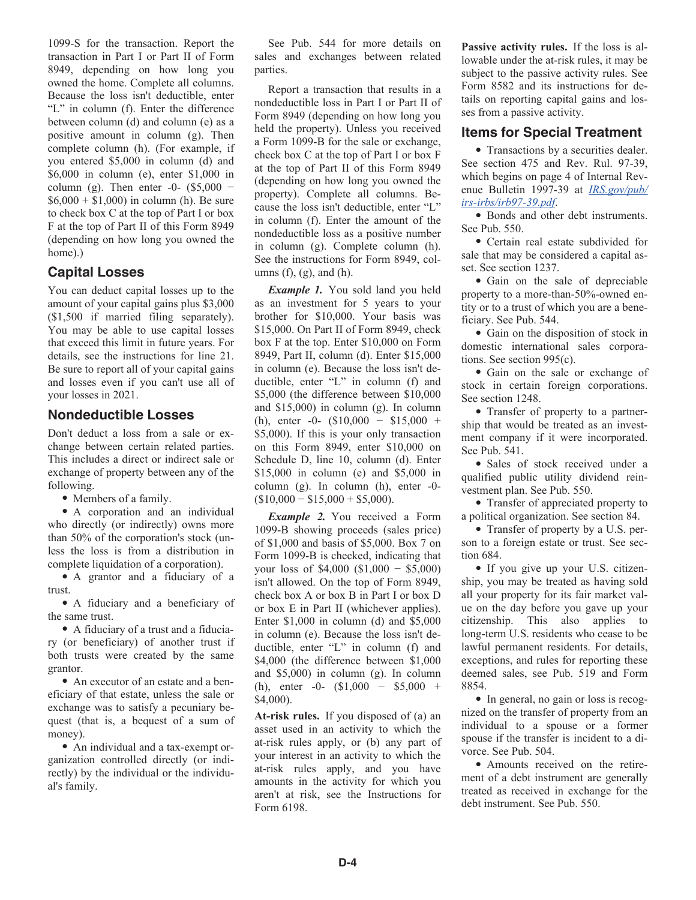1099-S for the transaction. Report the transaction in Part I or Part II of Form 8949, depending on how long you owned the home. Complete all columns. Because the loss isn't deductible, enter "L" in column (f). Enter the difference between column (d) and column (e) as a positive amount in column (g). Then complete column (h). (For example, if you entered \$5,000 in column (d) and \$6,000 in column (e), enter \$1,000 in column (g). Then enter  $-0$ - (\$5,000  $$6,000 + $1,000$  in column (h). Be sure to check box C at the top of Part I or box F at the top of Part II of this Form 8949 (depending on how long you owned the home).)

#### **Capital Losses**

You can deduct capital losses up to the amount of your capital gains plus \$3,000 (\$1,500 if married filing separately). You may be able to use capital losses that exceed this limit in future years. For details, see the instructions for line 21. Be sure to report all of your capital gains and losses even if you can't use all of your losses in 2021.

#### **Nondeductible Losses**

Don't deduct a loss from a sale or exchange between certain related parties. This includes a direct or indirect sale or exchange of property between any of the following.

• Members of a family.

• A corporation and an individual who directly (or indirectly) owns more than 50% of the corporation's stock (unless the loss is from a distribution in complete liquidation of a corporation).

• A grantor and a fiduciary of a trust.

• A fiduciary and a beneficiary of the same trust.

• A fiduciary of a trust and a fiduciary (or beneficiary) of another trust if both trusts were created by the same grantor.

• An executor of an estate and a beneficiary of that estate, unless the sale or exchange was to satisfy a pecuniary bequest (that is, a bequest of a sum of money).

• An individual and a tax-exempt organization controlled directly (or indirectly) by the individual or the individual's family.

See Pub. 544 for more details on sales and exchanges between related parties.

Report a transaction that results in a nondeductible loss in Part I or Part II of Form 8949 (depending on how long you held the property). Unless you received a Form 1099-B for the sale or exchange, check box C at the top of Part I or box F at the top of Part II of this Form 8949 (depending on how long you owned the property). Complete all columns. Because the loss isn't deductible, enter "L" in column (f). Enter the amount of the nondeductible loss as a positive number in column (g). Complete column (h). See the instructions for Form 8949, columns  $(f)$ ,  $(g)$ , and  $(h)$ .

*Example 1.* You sold land you held as an investment for 5 years to your brother for \$10,000. Your basis was \$15,000. On Part II of Form 8949, check box F at the top. Enter \$10,000 on Form 8949, Part II, column (d). Enter \$15,000 in column (e). Because the loss isn't deductible, enter "L" in column (f) and \$5,000 (the difference between \$10,000 and \$15,000) in column (g). In column (h), enter -0- (\$10,000 − \$15,000 + \$5,000). If this is your only transaction on this Form 8949, enter \$10,000 on Schedule D, line 10, column (d). Enter \$15,000 in column (e) and \$5,000 in column (g). In column (h), enter -0-  $($10,000 - $15,000 + $5,000).$ 

*Example 2.* You received a Form 1099-B showing proceeds (sales price) of \$1,000 and basis of \$5,000. Box 7 on Form 1099-B is checked, indicating that your loss of \$4,000 (\$1,000 − \$5,000) isn't allowed. On the top of Form 8949, check box A or box B in Part I or box D or box E in Part II (whichever applies). Enter \$1,000 in column (d) and \$5,000 in column (e). Because the loss isn't deductible, enter "L" in column (f) and \$4,000 (the difference between \$1,000) and \$5,000) in column (g). In column (h), enter -0- (\$1,000 − \$5,000 + \$4,000).

**At-risk rules.** If you disposed of (a) an asset used in an activity to which the at-risk rules apply, or (b) any part of your interest in an activity to which the at-risk rules apply, and you have amounts in the activity for which you aren't at risk, see the Instructions for Form 6198.

**Passive activity rules.** If the loss is allowable under the at-risk rules, it may be subject to the passive activity rules. See Form 8582 and its instructions for details on reporting capital gains and losses from a passive activity.

#### **Items for Special Treatment**

• Transactions by a securities dealer. See section 475 and Rev. Rul. 97-39, which begins on page 4 of Internal Revenue Bulletin 1997-39 at *[IRS.gov/pub/](https://www.irs.gov/pub/irs-irbs/irb97-39.pdf) [irs-irbs/irb97-39.pdf](https://www.irs.gov/pub/irs-irbs/irb97-39.pdf)*.

• Bonds and other debt instruments. See Pub. 550.

• Certain real estate subdivided for sale that may be considered a capital asset. See section 1237.

• Gain on the sale of depreciable property to a more-than-50%-owned entity or to a trust of which you are a beneficiary. See Pub. 544.

• Gain on the disposition of stock in domestic international sales corporations. See section 995(c).

• Gain on the sale or exchange of stock in certain foreign corporations. See section 1248.

• Transfer of property to a partnership that would be treated as an investment company if it were incorporated. See Pub. 541.

• Sales of stock received under a qualified public utility dividend reinvestment plan. See Pub. 550.

• Transfer of appreciated property to a political organization. See section 84.

• Transfer of property by a U.S. person to a foreign estate or trust. See section 684.

• If you give up your U.S. citizenship, you may be treated as having sold all your property for its fair market value on the day before you gave up your citizenship. This also applies to long-term U.S. residents who cease to be lawful permanent residents. For details, exceptions, and rules for reporting these deemed sales, see Pub. 519 and Form 8854.

• In general, no gain or loss is recognized on the transfer of property from an individual to a spouse or a former spouse if the transfer is incident to a divorce. See Pub. 504.

• Amounts received on the retirement of a debt instrument are generally treated as received in exchange for the debt instrument. See Pub. 550.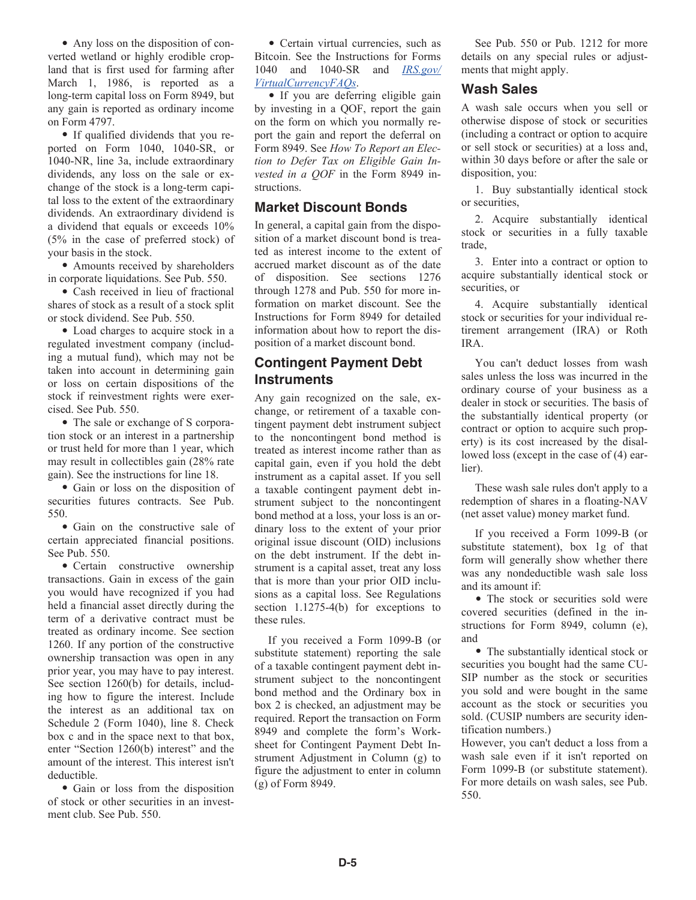• Any loss on the disposition of converted wetland or highly erodible cropland that is first used for farming after March 1, 1986, is reported as a long-term capital loss on Form 8949, but any gain is reported as ordinary income on Form 4797.

• If qualified dividends that you reported on Form 1040, 1040-SR, or 1040-NR, line 3a, include extraordinary dividends, any loss on the sale or exchange of the stock is a long-term capital loss to the extent of the extraordinary dividends. An extraordinary dividend is a dividend that equals or exceeds 10% (5% in the case of preferred stock) of your basis in the stock.

• Amounts received by shareholders in corporate liquidations. See Pub. 550.

• Cash received in lieu of fractional shares of stock as a result of a stock split or stock dividend. See Pub. 550.

• Load charges to acquire stock in a regulated investment company (including a mutual fund), which may not be taken into account in determining gain or loss on certain dispositions of the stock if reinvestment rights were exercised. See Pub. 550.

• The sale or exchange of S corporation stock or an interest in a partnership or trust held for more than 1 year, which may result in collectibles gain (28% rate gain). See the instructions for line 18.

• Gain or loss on the disposition of securities futures contracts. See Pub. 550.

• Gain on the constructive sale of certain appreciated financial positions. See Pub. 550.

• Certain constructive ownership transactions. Gain in excess of the gain you would have recognized if you had held a financial asset directly during the term of a derivative contract must be treated as ordinary income. See section 1260. If any portion of the constructive ownership transaction was open in any prior year, you may have to pay interest. See section 1260(b) for details, including how to figure the interest. Include the interest as an additional tax on Schedule 2 (Form 1040), line 8. Check box c and in the space next to that box, enter "Section 1260(b) interest" and the amount of the interest. This interest isn't deductible.

• Gain or loss from the disposition of stock or other securities in an investment club. See Pub. 550.

• Certain virtual currencies, such as Bitcoin. See the Instructions for Forms 1040 and 1040-SR and *[IRS.gov/](https://irs.gov/virtualcurrencyfaqs) [VirtualCurrencyFAQs](https://irs.gov/virtualcurrencyfaqs)*.

• If you are deferring eligible gain by investing in a QOF, report the gain on the form on which you normally report the gain and report the deferral on Form 8949. See *How To Report an Election to Defer Tax on Eligible Gain Invested in a QOF* in the Form 8949 instructions.

#### **Market Discount Bonds**

In general, a capital gain from the disposition of a market discount bond is treated as interest income to the extent of accrued market discount as of the date of disposition. See sections 1276 through 1278 and Pub. 550 for more information on market discount. See the Instructions for Form 8949 for detailed information about how to report the disposition of a market discount bond.

#### **Contingent Payment Debt Instruments**

Any gain recognized on the sale, exchange, or retirement of a taxable contingent payment debt instrument subject to the noncontingent bond method is treated as interest income rather than as capital gain, even if you hold the debt instrument as a capital asset. If you sell a taxable contingent payment debt instrument subject to the noncontingent bond method at a loss, your loss is an ordinary loss to the extent of your prior original issue discount (OID) inclusions on the debt instrument. If the debt instrument is a capital asset, treat any loss that is more than your prior OID inclusions as a capital loss. See Regulations section 1.1275-4(b) for exceptions to these rules.

If you received a Form 1099-B (or substitute statement) reporting the sale of a taxable contingent payment debt instrument subject to the noncontingent bond method and the Ordinary box in box 2 is checked, an adjustment may be required. Report the transaction on Form 8949 and complete the form's Worksheet for Contingent Payment Debt Instrument Adjustment in Column (g) to figure the adjustment to enter in column (g) of Form 8949.

See Pub. 550 or Pub. 1212 for more details on any special rules or adjustments that might apply.

#### **Wash Sales**

A wash sale occurs when you sell or otherwise dispose of stock or securities (including a contract or option to acquire or sell stock or securities) at a loss and, within 30 days before or after the sale or disposition, you:

1. Buy substantially identical stock or securities,

2. Acquire substantially identical stock or securities in a fully taxable trade,

3. Enter into a contract or option to acquire substantially identical stock or securities, or

4. Acquire substantially identical stock or securities for your individual retirement arrangement (IRA) or Roth IRA.

You can't deduct losses from wash sales unless the loss was incurred in the ordinary course of your business as a dealer in stock or securities. The basis of the substantially identical property (or contract or option to acquire such property) is its cost increased by the disallowed loss (except in the case of (4) earlier).

These wash sale rules don't apply to a redemption of shares in a floating-NAV (net asset value) money market fund.

If you received a Form 1099-B (or substitute statement), box 1g of that form will generally show whether there was any nondeductible wash sale loss and its amount if:

• The stock or securities sold were covered securities (defined in the instructions for Form 8949, column (e), and

• The substantially identical stock or securities you bought had the same CU-SIP number as the stock or securities you sold and were bought in the same account as the stock or securities you sold. (CUSIP numbers are security identification numbers.)

However, you can't deduct a loss from a wash sale even if it isn't reported on Form 1099-B (or substitute statement). For more details on wash sales, see Pub. 550.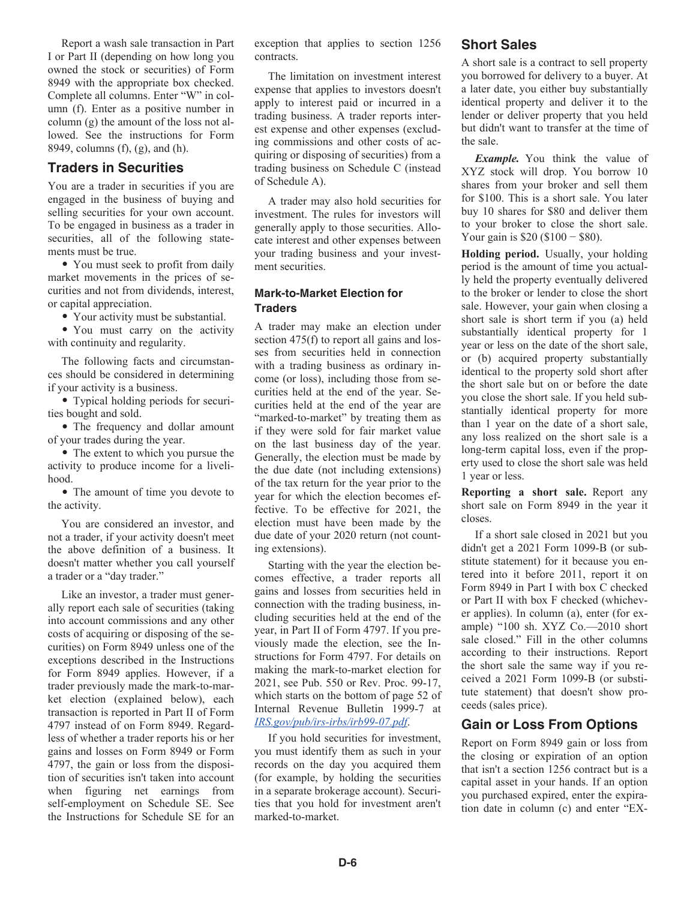Report a wash sale transaction in Part I or Part II (depending on how long you owned the stock or securities) of Form 8949 with the appropriate box checked. Complete all columns. Enter "W" in column (f). Enter as a positive number in column (g) the amount of the loss not allowed. See the instructions for Form 8949, columns (f), (g), and (h).

#### **Traders in Securities**

You are a trader in securities if you are engaged in the business of buying and selling securities for your own account. To be engaged in business as a trader in securities, all of the following statements must be true.

• You must seek to profit from daily market movements in the prices of securities and not from dividends, interest, or capital appreciation.

• Your activity must be substantial.

• You must carry on the activity with continuity and regularity.

The following facts and circumstances should be considered in determining if your activity is a business.

• Typical holding periods for securities bought and sold.

• The frequency and dollar amount of your trades during the year.

• The extent to which you pursue the activity to produce income for a livelihood.

• The amount of time you devote to the activity.

You are considered an investor, and not a trader, if your activity doesn't meet the above definition of a business. It doesn't matter whether you call yourself a trader or a "day trader."

Like an investor, a trader must generally report each sale of securities (taking into account commissions and any other costs of acquiring or disposing of the securities) on Form 8949 unless one of the exceptions described in the Instructions for Form 8949 applies. However, if a trader previously made the mark-to-market election (explained below), each transaction is reported in Part II of Form 4797 instead of on Form 8949. Regardless of whether a trader reports his or her gains and losses on Form 8949 or Form 4797, the gain or loss from the disposition of securities isn't taken into account when figuring net earnings from self-employment on Schedule SE. See the Instructions for Schedule SE for an

exception that applies to section 1256 contracts.

The limitation on investment interest expense that applies to investors doesn't apply to interest paid or incurred in a trading business. A trader reports interest expense and other expenses (excluding commissions and other costs of acquiring or disposing of securities) from a trading business on Schedule C (instead of Schedule A).

A trader may also hold securities for investment. The rules for investors will generally apply to those securities. Allocate interest and other expenses between your trading business and your investment securities.

#### **Mark-to-Market Election for Traders**

A trader may make an election under section 475(f) to report all gains and losses from securities held in connection with a trading business as ordinary income (or loss), including those from securities held at the end of the year. Securities held at the end of the year are "marked-to-market" by treating them as if they were sold for fair market value on the last business day of the year. Generally, the election must be made by the due date (not including extensions) of the tax return for the year prior to the year for which the election becomes effective. To be effective for 2021, the election must have been made by the due date of your 2020 return (not counting extensions).

Starting with the year the election becomes effective, a trader reports all gains and losses from securities held in connection with the trading business, including securities held at the end of the year, in Part II of Form 4797. If you previously made the election, see the Instructions for Form 4797. For details on making the mark-to-market election for 2021, see Pub. 550 or Rev. Proc. 99-17, which starts on the bottom of page 52 of Internal Revenue Bulletin 1999-7 at *[IRS.gov/pub/irs-irbs/irb99-07.pdf](https://www.irs.gov/pub/irs-irbs/irb99-07.pdf)*.

If you hold securities for investment, you must identify them as such in your records on the day you acquired them (for example, by holding the securities in a separate brokerage account). Securities that you hold for investment aren't marked-to-market.

#### **Short Sales**

A short sale is a contract to sell property you borrowed for delivery to a buyer. At a later date, you either buy substantially identical property and deliver it to the lender or deliver property that you held but didn't want to transfer at the time of the sale.

*Example.* You think the value of XYZ stock will drop. You borrow 10 shares from your broker and sell them for \$100. This is a short sale. You later buy 10 shares for \$80 and deliver them to your broker to close the short sale. Your gain is \$20 (\$100 − \$80).

**Holding period.** Usually, your holding period is the amount of time you actually held the property eventually delivered to the broker or lender to close the short sale. However, your gain when closing a short sale is short term if you (a) held substantially identical property for 1 year or less on the date of the short sale, or (b) acquired property substantially identical to the property sold short after the short sale but on or before the date you close the short sale. If you held substantially identical property for more than 1 year on the date of a short sale, any loss realized on the short sale is a long-term capital loss, even if the property used to close the short sale was held 1 year or less.

**Reporting a short sale.** Report any short sale on Form 8949 in the year it closes.

If a short sale closed in 2021 but you didn't get a 2021 Form 1099-B (or substitute statement) for it because you entered into it before 2011, report it on Form 8949 in Part I with box C checked or Part II with box F checked (whichever applies). In column (a), enter (for example) "100 sh. XYZ Co.—2010 short sale closed." Fill in the other columns according to their instructions. Report the short sale the same way if you received a 2021 Form 1099-B (or substitute statement) that doesn't show proceeds (sales price).

#### **Gain or Loss From Options**

Report on Form 8949 gain or loss from the closing or expiration of an option that isn't a section 1256 contract but is a capital asset in your hands. If an option you purchased expired, enter the expiration date in column (c) and enter "EX-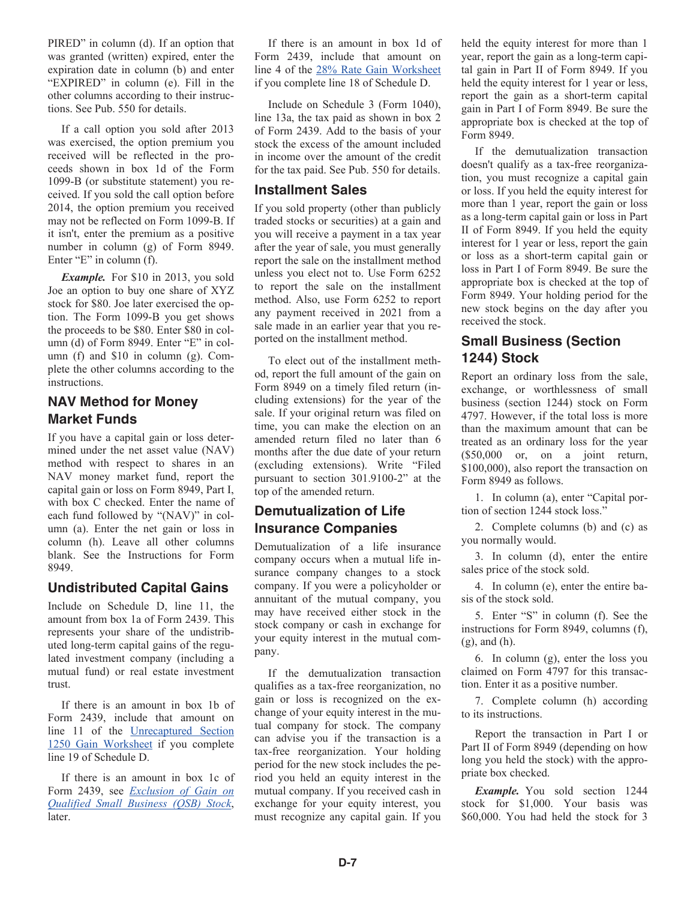PIRED" in column (d). If an option that was granted (written) expired, enter the expiration date in column (b) and enter "EXPIRED" in column (e). Fill in the other columns according to their instructions. See Pub. 550 for details.

If a call option you sold after 2013 was exercised, the option premium you received will be reflected in the proceeds shown in box 1d of the Form 1099-B (or substitute statement) you received. If you sold the call option before 2014, the option premium you received may not be reflected on Form 1099-B. If it isn't, enter the premium as a positive number in column (g) of Form 8949. Enter "E" in column (f).

*Example.* For \$10 in 2013, you sold Joe an option to buy one share of XYZ stock for \$80. Joe later exercised the option. The Form 1099-B you get shows the proceeds to be \$80. Enter \$80 in column (d) of Form 8949. Enter "E" in column (f) and \$10 in column (g). Complete the other columns according to the instructions.

#### **NAV Method for Money Market Funds**

If you have a capital gain or loss determined under the net asset value (NAV) method with respect to shares in an NAV money market fund, report the capital gain or loss on Form 8949, Part I, with box C checked. Enter the name of each fund followed by "(NAV)" in column (a). Enter the net gain or loss in column (h). Leave all other columns blank. See the Instructions for Form 8949.

#### **Undistributed Capital Gains**

Include on Schedule D, line 11, the amount from box 1a of Form 2439. This represents your share of the undistributed long-term capital gains of the regulated investment company (including a mutual fund) or real estate investment trust.

If there is an amount in box 1b of Form 2439, include that amount on line 11 of the Unrecaptured Section 1250 Gain Worksheet if you complete line 19 of Schedule D.

If there is an amount in box 1c of Form 2439, see *Exclusion of Gain on Qualified Small Business (QSB) Stock*, later.

If there is an amount in box 1d of Form 2439, include that amount on line 4 of the 28% Rate Gain Worksheet if you complete line 18 of Schedule D.

Include on Schedule 3 (Form 1040), line 13a, the tax paid as shown in box 2 of Form 2439. Add to the basis of your stock the excess of the amount included in income over the amount of the credit for the tax paid. See Pub. 550 for details.

#### **Installment Sales**

If you sold property (other than publicly traded stocks or securities) at a gain and you will receive a payment in a tax year after the year of sale, you must generally report the sale on the installment method unless you elect not to. Use Form 6252 to report the sale on the installment method. Also, use Form 6252 to report any payment received in 2021 from a sale made in an earlier year that you reported on the installment method.

To elect out of the installment method, report the full amount of the gain on Form 8949 on a timely filed return (including extensions) for the year of the sale. If your original return was filed on time, you can make the election on an amended return filed no later than 6 months after the due date of your return (excluding extensions). Write "Filed pursuant to section 301.9100-2" at the top of the amended return.

#### **Demutualization of Life Insurance Companies**

Demutualization of a life insurance company occurs when a mutual life insurance company changes to a stock company. If you were a policyholder or annuitant of the mutual company, you may have received either stock in the stock company or cash in exchange for your equity interest in the mutual company.

If the demutualization transaction qualifies as a tax-free reorganization, no gain or loss is recognized on the exchange of your equity interest in the mutual company for stock. The company can advise you if the transaction is a tax-free reorganization. Your holding period for the new stock includes the period you held an equity interest in the mutual company. If you received cash in exchange for your equity interest, you must recognize any capital gain. If you held the equity interest for more than 1 year, report the gain as a long-term capital gain in Part II of Form 8949. If you held the equity interest for 1 year or less, report the gain as a short-term capital gain in Part I of Form 8949. Be sure the appropriate box is checked at the top of Form 8949.

If the demutualization transaction doesn't qualify as a tax-free reorganization, you must recognize a capital gain or loss. If you held the equity interest for more than 1 year, report the gain or loss as a long-term capital gain or loss in Part II of Form 8949. If you held the equity interest for 1 year or less, report the gain or loss as a short-term capital gain or loss in Part I of Form 8949. Be sure the appropriate box is checked at the top of Form 8949. Your holding period for the new stock begins on the day after you received the stock.

#### **Small Business (Section 1244) Stock**

Report an ordinary loss from the sale, exchange, or worthlessness of small business (section 1244) stock on Form 4797. However, if the total loss is more than the maximum amount that can be treated as an ordinary loss for the year (\$50,000 or, on a joint return, \$100,000), also report the transaction on Form 8949 as follows.

1. In column (a), enter "Capital portion of section 1244 stock loss."

2. Complete columns (b) and (c) as you normally would.

3. In column (d), enter the entire sales price of the stock sold.

4. In column (e), enter the entire basis of the stock sold.

5. Enter "S" in column (f). See the instructions for Form 8949, columns (f), (g), and (h).

6. In column (g), enter the loss you claimed on Form 4797 for this transaction. Enter it as a positive number.

7. Complete column (h) according to its instructions.

Report the transaction in Part I or Part II of Form 8949 (depending on how long you held the stock) with the appropriate box checked.

*Example.* You sold section 1244 stock for \$1,000. Your basis was \$60,000. You had held the stock for 3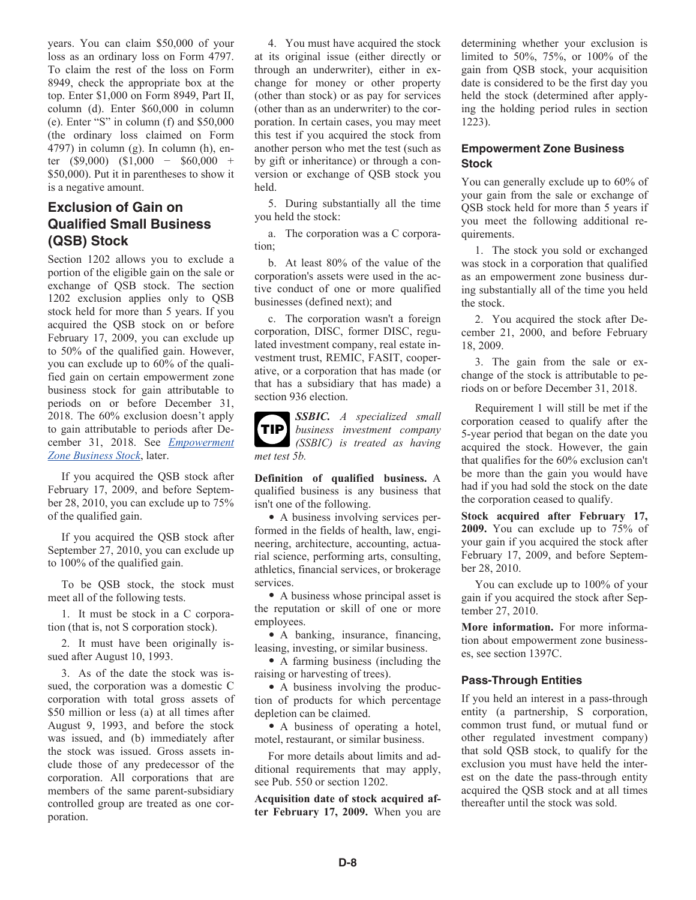years. You can claim \$50,000 of your loss as an ordinary loss on Form 4797. To claim the rest of the loss on Form 8949, check the appropriate box at the top. Enter \$1,000 on Form 8949, Part II, column (d). Enter \$60,000 in column (e). Enter "S" in column (f) and \$50,000 (the ordinary loss claimed on Form 4797) in column (g). In column (h), enter (\$9,000) (\$1,000 − \$60,000 + \$50,000). Put it in parentheses to show it is a negative amount.

#### **Exclusion of Gain on Qualified Small Business (QSB) Stock**

Section 1202 allows you to exclude a portion of the eligible gain on the sale or exchange of QSB stock. The section 1202 exclusion applies only to QSB stock held for more than 5 years. If you acquired the QSB stock on or before February 17, 2009, you can exclude up to 50% of the qualified gain. However, you can exclude up to 60% of the qualified gain on certain empowerment zone business stock for gain attributable to periods on or before December 31, 2018. The 60% exclusion doesn't apply to gain attributable to periods after December 31, 2018. See *Empowerment Zone Business Stock*, later.

If you acquired the QSB stock after February 17, 2009, and before September 28, 2010, you can exclude up to 75% of the qualified gain.

If you acquired the QSB stock after September 27, 2010, you can exclude up to 100% of the qualified gain.

To be QSB stock, the stock must meet all of the following tests.

1. It must be stock in a C corporation (that is, not S corporation stock).

2. It must have been originally issued after August 10, 1993.

3. As of the date the stock was issued, the corporation was a domestic C corporation with total gross assets of \$50 million or less (a) at all times after August 9, 1993, and before the stock was issued, and (b) immediately after the stock was issued. Gross assets include those of any predecessor of the corporation. All corporations that are members of the same parent-subsidiary controlled group are treated as one corporation.

4. You must have acquired the stock at its original issue (either directly or through an underwriter), either in exchange for money or other property (other than stock) or as pay for services (other than as an underwriter) to the corporation. In certain cases, you may meet this test if you acquired the stock from another person who met the test (such as by gift or inheritance) or through a conversion or exchange of QSB stock you held.

5. During substantially all the time you held the stock:

a. The corporation was a C corporation;

b. At least 80% of the value of the corporation's assets were used in the active conduct of one or more qualified businesses (defined next); and

c. The corporation wasn't a foreign corporation, DISC, former DISC, regulated investment company, real estate investment trust, REMIC, FASIT, cooperative, or a corporation that has made (or that has a subsidiary that has made) a section 936 election.

*met test 5b.* **TIP**

*SSBIC. A specialized small business investment company (SSBIC) is treated as having* 

**Definition of qualified business.** A qualified business is any business that isn't one of the following.

• A business involving services performed in the fields of health, law, engineering, architecture, accounting, actuarial science, performing arts, consulting, athletics, financial services, or brokerage services.

• A business whose principal asset is the reputation or skill of one or more employees.

• A banking, insurance, financing, leasing, investing, or similar business.

• A farming business (including the raising or harvesting of trees).

• A business involving the production of products for which percentage depletion can be claimed.

• A business of operating a hotel, motel, restaurant, or similar business.

For more details about limits and additional requirements that may apply, see Pub. 550 or section 1202.

**Acquisition date of stock acquired after February 17, 2009.** When you are determining whether your exclusion is limited to 50%, 75%, or 100% of the gain from QSB stock, your acquisition date is considered to be the first day you held the stock (determined after applying the holding period rules in section 1223).

#### **Empowerment Zone Business Stock**

You can generally exclude up to 60% of your gain from the sale or exchange of QSB stock held for more than 5 years if you meet the following additional requirements.

1. The stock you sold or exchanged was stock in a corporation that qualified as an empowerment zone business during substantially all of the time you held the stock.

2. You acquired the stock after December 21, 2000, and before February 18, 2009.

3. The gain from the sale or exchange of the stock is attributable to periods on or before December 31, 2018.

Requirement 1 will still be met if the corporation ceased to qualify after the 5-year period that began on the date you acquired the stock. However, the gain that qualifies for the 60% exclusion can't be more than the gain you would have had if you had sold the stock on the date the corporation ceased to qualify.

**Stock acquired after February 17, 2009.** You can exclude up to 75% of your gain if you acquired the stock after February 17, 2009, and before September 28, 2010.

You can exclude up to 100% of your gain if you acquired the stock after September 27, 2010.

**More information.** For more information about empowerment zone businesses, see section 1397C.

#### **Pass-Through Entities**

If you held an interest in a pass-through entity (a partnership, S corporation, common trust fund, or mutual fund or other regulated investment company) that sold QSB stock, to qualify for the exclusion you must have held the interest on the date the pass-through entity acquired the QSB stock and at all times thereafter until the stock was sold.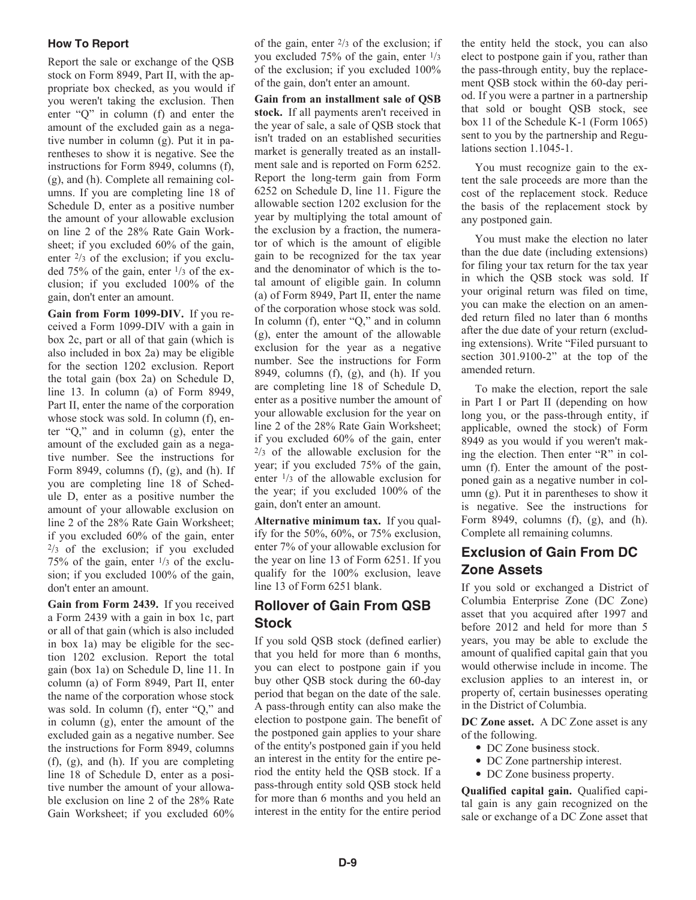#### **How To Report**

Report the sale or exchange of the QSB stock on Form 8949, Part II, with the appropriate box checked, as you would if you weren't taking the exclusion. Then enter "Q" in column (f) and enter the amount of the excluded gain as a negative number in column (g). Put it in parentheses to show it is negative. See the instructions for Form 8949, columns (f), (g), and (h). Complete all remaining columns. If you are completing line 18 of Schedule D, enter as a positive number the amount of your allowable exclusion on line 2 of the 28% Rate Gain Worksheet; if you excluded 60% of the gain, enter 2/3 of the exclusion; if you excluded 75% of the gain, enter 1/3 of the exclusion; if you excluded 100% of the gain, don't enter an amount.

**Gain from Form 1099-DIV.** If you received a Form 1099-DIV with a gain in box 2c, part or all of that gain (which is also included in box 2a) may be eligible for the section 1202 exclusion. Report the total gain (box 2a) on Schedule D, line 13. In column (a) of Form 8949, Part II, enter the name of the corporation whose stock was sold. In column (f), enter "Q," and in column (g), enter the amount of the excluded gain as a negative number. See the instructions for Form 8949, columns  $(f)$ ,  $(g)$ , and  $(h)$ . If you are completing line 18 of Schedule D, enter as a positive number the amount of your allowable exclusion on line 2 of the 28% Rate Gain Worksheet; if you excluded 60% of the gain, enter  $2/3$  of the exclusion; if you excluded 75% of the gain, enter  $\frac{1}{3}$  of the exclusion; if you excluded 100% of the gain, don't enter an amount.

**Gain from Form 2439.** If you received a Form 2439 with a gain in box 1c, part or all of that gain (which is also included in box 1a) may be eligible for the section 1202 exclusion. Report the total gain (box 1a) on Schedule D, line 11. In column (a) of Form 8949, Part II, enter the name of the corporation whose stock was sold. In column (f), enter "Q," and in column (g), enter the amount of the excluded gain as a negative number. See the instructions for Form 8949, columns (f), (g), and (h). If you are completing line 18 of Schedule D, enter as a positive number the amount of your allowable exclusion on line 2 of the 28% Rate Gain Worksheet; if you excluded 60% of the gain, enter  $2/3$  of the exclusion; if you excluded 75% of the gain, enter  $\frac{1}{3}$ of the exclusion; if you excluded 100% of the gain, don't enter an amount.

**Gain from an installment sale of QSB stock.** If all payments aren't received in the year of sale, a sale of QSB stock that isn't traded on an established securities market is generally treated as an installment sale and is reported on Form 6252. Report the long-term gain from Form 6252 on Schedule D, line 11. Figure the allowable section 1202 exclusion for the year by multiplying the total amount of the exclusion by a fraction, the numerator of which is the amount of eligible gain to be recognized for the tax year and the denominator of which is the total amount of eligible gain. In column (a) of Form 8949, Part II, enter the name of the corporation whose stock was sold. In column (f), enter "Q," and in column (g), enter the amount of the allowable exclusion for the year as a negative number. See the instructions for Form 8949, columns  $(f)$ ,  $(g)$ , and  $(h)$ . If you are completing line 18 of Schedule D, enter as a positive number the amount of your allowable exclusion for the year on line 2 of the 28% Rate Gain Worksheet; if you excluded 60% of the gain, enter  $\frac{2}{3}$  of the allowable exclusion for the year; if you excluded 75% of the gain, enter 1/3 of the allowable exclusion for the year; if you excluded 100% of the gain, don't enter an amount.

**Alternative minimum tax.** If you qualify for the  $50\%$ ,  $60\%$ , or  $75\%$  exclusion. enter 7% of your allowable exclusion for the year on line 13 of Form 6251. If you qualify for the 100% exclusion, leave line 13 of Form 6251 blank.

#### **Rollover of Gain From QSB Stock**

If you sold QSB stock (defined earlier) that you held for more than 6 months, you can elect to postpone gain if you buy other QSB stock during the 60-day period that began on the date of the sale. A pass-through entity can also make the election to postpone gain. The benefit of the postponed gain applies to your share of the entity's postponed gain if you held an interest in the entity for the entire period the entity held the QSB stock. If a pass-through entity sold QSB stock held for more than 6 months and you held an interest in the entity for the entire period the entity held the stock, you can also elect to postpone gain if you, rather than the pass-through entity, buy the replacement QSB stock within the 60-day period. If you were a partner in a partnership that sold or bought QSB stock, see box 11 of the Schedule K-1 (Form 1065) sent to you by the partnership and Regulations section 1.1045-1.

You must recognize gain to the extent the sale proceeds are more than the cost of the replacement stock. Reduce the basis of the replacement stock by any postponed gain.

You must make the election no later than the due date (including extensions) for filing your tax return for the tax year in which the QSB stock was sold. If your original return was filed on time, you can make the election on an amended return filed no later than 6 months after the due date of your return (excluding extensions). Write "Filed pursuant to section 301.9100-2" at the top of the amended return.

To make the election, report the sale in Part I or Part II (depending on how long you, or the pass-through entity, if applicable, owned the stock) of Form 8949 as you would if you weren't making the election. Then enter "R" in column (f). Enter the amount of the postponed gain as a negative number in column (g). Put it in parentheses to show it is negative. See the instructions for Form 8949, columns  $(f)$ ,  $(g)$ , and  $(h)$ . Complete all remaining columns.

#### **Exclusion of Gain From DC Zone Assets**

If you sold or exchanged a District of Columbia Enterprise Zone (DC Zone) asset that you acquired after 1997 and before 2012 and held for more than 5 years, you may be able to exclude the amount of qualified capital gain that you would otherwise include in income. The exclusion applies to an interest in, or property of, certain businesses operating in the District of Columbia.

**DC Zone asset.** A DC Zone asset is any of the following.

- DC Zone business stock.
- DC Zone partnership interest.
- DC Zone business property.

**Qualified capital gain.** Qualified capital gain is any gain recognized on the sale or exchange of a DC Zone asset that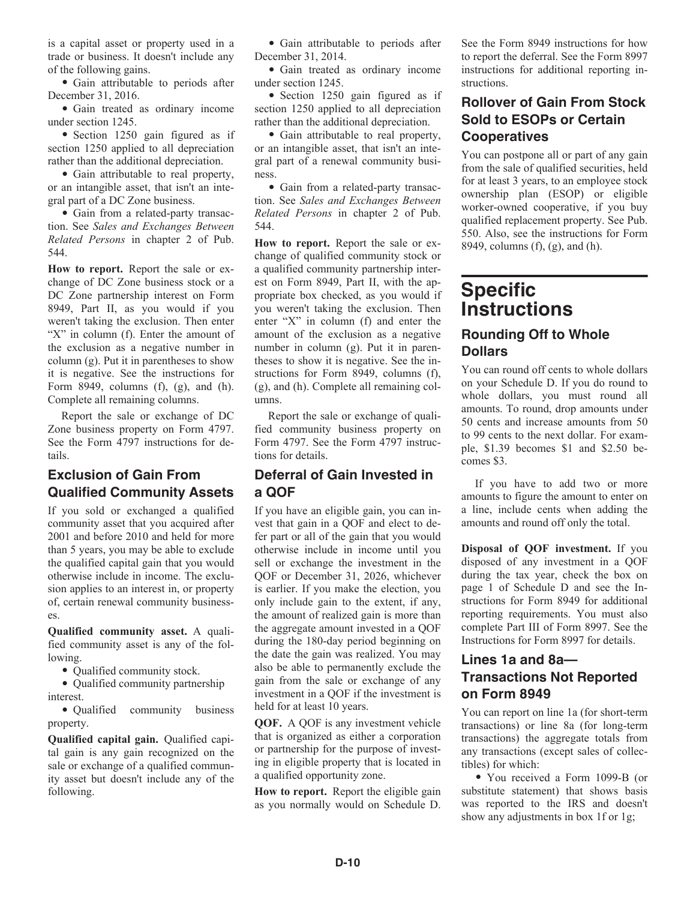is a capital asset or property used in a trade or business. It doesn't include any of the following gains.

• Gain attributable to periods after December 31, 2016.

• Gain treated as ordinary income under section 1245.

• Section 1250 gain figured as if section 1250 applied to all depreciation rather than the additional depreciation.

• Gain attributable to real property, or an intangible asset, that isn't an integral part of a DC Zone business.

• Gain from a related-party transaction. See *Sales and Exchanges Between Related Persons* in chapter 2 of Pub. 544.

**How to report.** Report the sale or exchange of DC Zone business stock or a DC Zone partnership interest on Form 8949, Part II, as you would if you weren't taking the exclusion. Then enter "X" in column (f). Enter the amount of the exclusion as a negative number in column (g). Put it in parentheses to show it is negative. See the instructions for Form 8949, columns (f), (g), and (h). Complete all remaining columns.

Report the sale or exchange of DC Zone business property on Form 4797. See the Form 4797 instructions for details.

#### **Exclusion of Gain From Qualified Community Assets**

If you sold or exchanged a qualified community asset that you acquired after 2001 and before 2010 and held for more than 5 years, you may be able to exclude the qualified capital gain that you would otherwise include in income. The exclusion applies to an interest in, or property of, certain renewal community businesses.

**Qualified community asset.** A qualified community asset is any of the following.

• Qualified community stock.

• Qualified community partnership interest.

• Qualified community business property.

**Qualified capital gain.** Qualified capital gain is any gain recognized on the sale or exchange of a qualified community asset but doesn't include any of the following.

• Gain attributable to periods after December 31, 2014.

• Gain treated as ordinary income under section 1245.

• Section 1250 gain figured as if section 1250 applied to all depreciation rather than the additional depreciation.

• Gain attributable to real property, or an intangible asset, that isn't an integral part of a renewal community business.

• Gain from a related-party transaction. See *Sales and Exchanges Between Related Persons* in chapter 2 of Pub. 544.

**How to report.** Report the sale or exchange of qualified community stock or a qualified community partnership interest on Form 8949, Part II, with the appropriate box checked, as you would if you weren't taking the exclusion. Then enter "X" in column (f) and enter the amount of the exclusion as a negative number in column (g). Put it in parentheses to show it is negative. See the instructions for Form 8949, columns (f), (g), and (h). Complete all remaining columns.

Report the sale or exchange of qualified community business property on Form 4797. See the Form 4797 instructions for details.

#### **Deferral of Gain Invested in a QOF**

If you have an eligible gain, you can invest that gain in a QOF and elect to defer part or all of the gain that you would otherwise include in income until you sell or exchange the investment in the QOF or December 31, 2026, whichever is earlier. If you make the election, you only include gain to the extent, if any, the amount of realized gain is more than the aggregate amount invested in a QOF during the 180-day period beginning on the date the gain was realized. You may also be able to permanently exclude the gain from the sale or exchange of any investment in a QOF if the investment is held for at least 10 years.

**QOF.** A QOF is any investment vehicle that is organized as either a corporation or partnership for the purpose of investing in eligible property that is located in a qualified opportunity zone.

**How to report.** Report the eligible gain as you normally would on Schedule D.

See the Form 8949 instructions for how to report the deferral. See the Form 8997 instructions for additional reporting instructions.

#### **Rollover of Gain From Stock Sold to ESOPs or Certain Cooperatives**

You can postpone all or part of any gain from the sale of qualified securities, held for at least 3 years, to an employee stock ownership plan (ESOP) or eligible worker-owned cooperative, if you buy qualified replacement property. See Pub. 550. Also, see the instructions for Form 8949, columns (f), (g), and (h).

#### **Specific Instructions Rounding Off to Whole Dollars**

You can round off cents to whole dollars on your Schedule D. If you do round to whole dollars, you must round all amounts. To round, drop amounts under 50 cents and increase amounts from 50 to 99 cents to the next dollar. For example, \$1.39 becomes \$1 and \$2.50 becomes \$3.

If you have to add two or more amounts to figure the amount to enter on a line, include cents when adding the amounts and round off only the total.

**Disposal of QOF investment.** If you disposed of any investment in a QOF during the tax year, check the box on page 1 of Schedule D and see the Instructions for Form 8949 for additional reporting requirements. You must also complete Part III of Form 8997. See the Instructions for Form 8997 for details.

#### **Lines 1a and 8a— Transactions Not Reported on Form 8949**

You can report on line 1a (for short-term transactions) or line 8a (for long-term transactions) the aggregate totals from any transactions (except sales of collectibles) for which:

• You received a Form 1099-B (or substitute statement) that shows basis was reported to the IRS and doesn't show any adjustments in box 1f or 1g;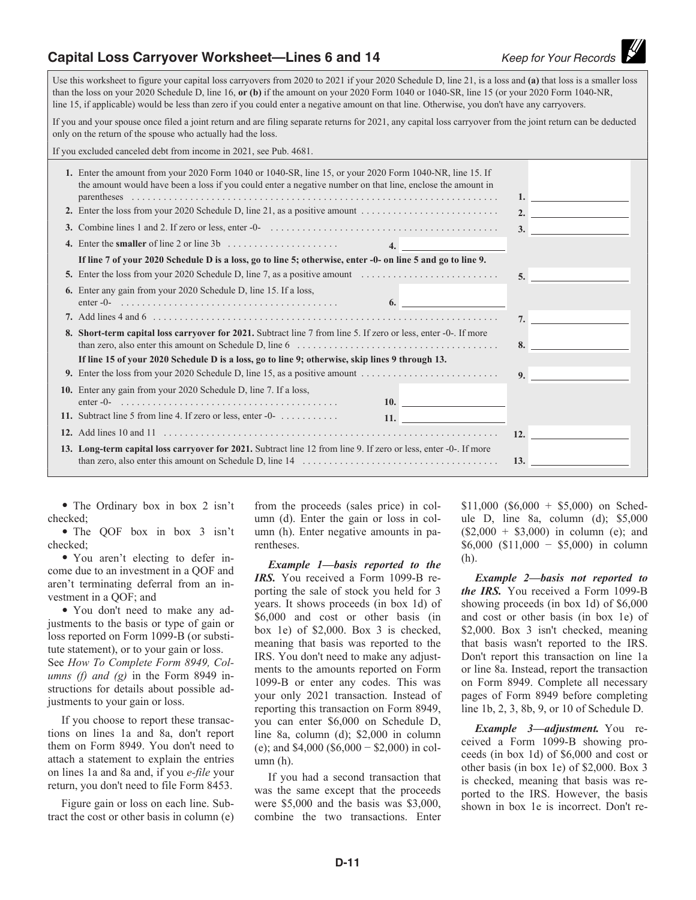#### **Capital Loss Carryover Worksheet—Lines 6 and 14** *Keep for Your Records*

Use this worksheet to figure your capital loss carryovers from 2020 to 2021 if your 2020 Schedule D, line 21, is a loss and **(a)** that loss is a smaller loss than the loss on your 2020 Schedule D, line 16, **or (b)** if the amount on your 2020 Form 1040 or 1040-SR, line 15 (or your 2020 Form 1040-NR, line 15, if applicable) would be less than zero if you could enter a negative amount on that line. Otherwise, you don't have any carryovers.

If you and your spouse once filed a joint return and are filing separate returns for 2021, any capital loss carryover from the joint return can be deducted only on the return of the spouse who actually had the loss.

If you excluded canceled debt from income in 2021, see Pub. 4681.

| 1. Enter the amount from your 2020 Form 1040 or 1040-SR, line 15, or your 2020 Form 1040-NR, line 15. If<br>the amount would have been a loss if you could enter a negative number on that line, enclose the amount in                                                                                                                               |                                                         |
|------------------------------------------------------------------------------------------------------------------------------------------------------------------------------------------------------------------------------------------------------------------------------------------------------------------------------------------------------|---------------------------------------------------------|
|                                                                                                                                                                                                                                                                                                                                                      |                                                         |
|                                                                                                                                                                                                                                                                                                                                                      | 3.<br><u> 1989 - Jan Barbara Barat, prima politik (</u> |
| $\overline{4}$ .                                                                                                                                                                                                                                                                                                                                     |                                                         |
| If line 7 of your 2020 Schedule D is a loss, go to line 5; otherwise, enter -0- on line 5 and go to line 9.                                                                                                                                                                                                                                          |                                                         |
| 5. Enter the loss from your 2020 Schedule D, line 7, as a positive amount $\ldots \ldots \ldots \ldots \ldots \ldots$                                                                                                                                                                                                                                | 5 <sub>1</sub>                                          |
| <b>6.</b> Enter any gain from your 2020 Schedule D, line 15. If a loss,<br>$enter -0$<br>6.                                                                                                                                                                                                                                                          |                                                         |
|                                                                                                                                                                                                                                                                                                                                                      |                                                         |
| 8. Short-term capital loss carryover for 2021. Subtract line 7 from line 5. If zero or less, enter -0-. If more<br>than zero, also enter this amount on Schedule D, line $6 \ldots \ldots \ldots \ldots \ldots \ldots \ldots \ldots \ldots \ldots$                                                                                                   | 8.                                                      |
| If line 15 of your 2020 Schedule D is a loss, go to line 9; otherwise, skip lines 9 through 13.                                                                                                                                                                                                                                                      |                                                         |
|                                                                                                                                                                                                                                                                                                                                                      | 9.                                                      |
| 10. Enter any gain from your 2020 Schedule D, line 7. If a loss,<br><b>10.</b> The same state of $\mathbf{10}$ state of $\mathbf{10}$ state of $\mathbf{10}$ state of $\mathbf{10}$ state of $\mathbf{10}$ state of $\mathbf{10}$ state of $\mathbf{10}$ state of $\mathbf{10}$ state of $\mathbf{10}$ state of $\mathbf{10}$ state of $\mathbf{10}$ |                                                         |
| 11. Subtract line 5 from line 4. If zero or less, enter $-0$ -<br>11. <u>______________________________</u>                                                                                                                                                                                                                                          |                                                         |
|                                                                                                                                                                                                                                                                                                                                                      | 12.                                                     |
| 13. Long-term capital loss carryover for 2021. Subtract line 12 from line 9. If zero or less, enter -0-. If more                                                                                                                                                                                                                                     |                                                         |
| <b>13.</b>                                                                                                                                                                                                                                                                                                                                           |                                                         |

• The Ordinary box in box 2 isn't checked;

• The QOF box in box 3 isn't checked;

• You aren't electing to defer income due to an investment in a QOF and aren't terminating deferral from an investment in a QOF; and

• You don't need to make any adjustments to the basis or type of gain or loss reported on Form 1099-B (or substitute statement), or to your gain or loss. See *How To Complete Form 8949, Columns (f) and (g)* in the Form 8949 instructions for details about possible adjustments to your gain or loss.

If you choose to report these transactions on lines 1a and 8a, don't report them on Form 8949. You don't need to attach a statement to explain the entries on lines 1a and 8a and, if you *e-file* your return, you don't need to file Form 8453.

Figure gain or loss on each line. Subtract the cost or other basis in column (e)

from the proceeds (sales price) in column (d). Enter the gain or loss in column (h). Enter negative amounts in parentheses.

*Example 1—basis reported to the*  IRS. You received a Form 1099-B reporting the sale of stock you held for 3 years. It shows proceeds (in box 1d) of \$6,000 and cost or other basis (in box 1e) of \$2,000. Box 3 is checked, meaning that basis was reported to the IRS. You don't need to make any adjustments to the amounts reported on Form 1099-B or enter any codes. This was your only 2021 transaction. Instead of reporting this transaction on Form 8949, you can enter \$6,000 on Schedule D, line 8a, column (d); \$2,000 in column (e); and \$4,000 (\$6,000 − \$2,000) in column (h).

If you had a second transaction that was the same except that the proceeds were \$5,000 and the basis was \$3,000, combine the two transactions. Enter

 $$11,000$   $$6,000 + $5,000$  on Schedule D, line 8a, column (d); \$5,000  $($2,000 + $3,000)$  in column (e); and \$6,000 (\$11,000 − \$5,000) in column (h).

*Example 2—basis not reported to the IRS.* You received a Form 1099-B showing proceeds (in box 1d) of \$6,000 and cost or other basis (in box 1e) of \$2,000. Box 3 isn't checked, meaning that basis wasn't reported to the IRS. Don't report this transaction on line 1a or line 8a. Instead, report the transaction on Form 8949. Complete all necessary pages of Form 8949 before completing line 1b, 2, 3, 8b, 9, or 10 of Schedule D.

*Example 3—adjustment.* You received a Form 1099-B showing proceeds (in box 1d) of \$6,000 and cost or other basis (in box 1e) of \$2,000. Box 3 is checked, meaning that basis was reported to the IRS. However, the basis shown in box 1e is incorrect. Don't re-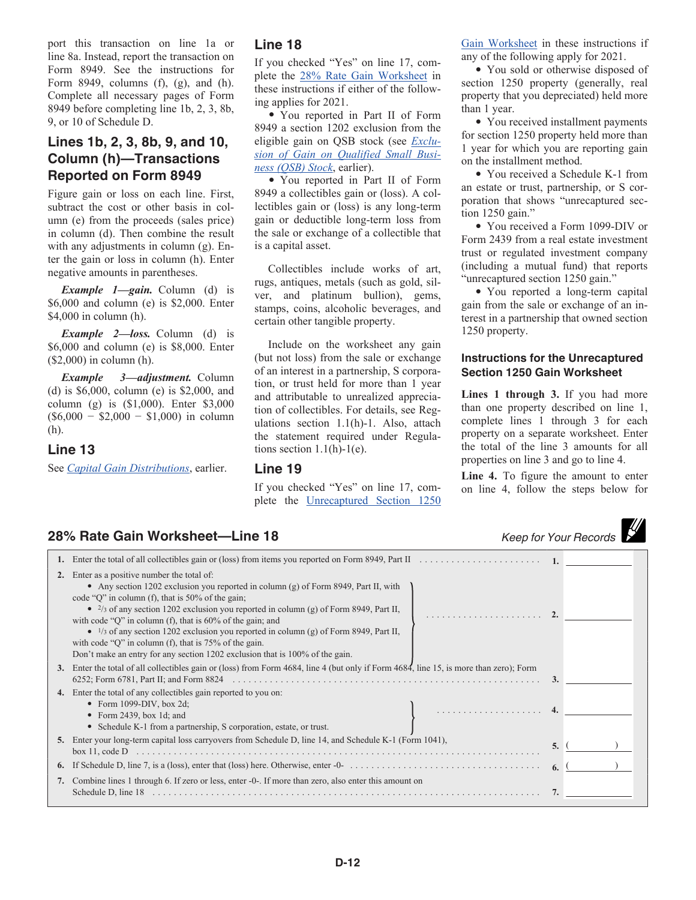port this transaction on line 1a or line 8a. Instead, report the transaction on Form 8949. See the instructions for Form 8949, columns (f), (g), and (h). Complete all necessary pages of Form 8949 before completing line 1b, 2, 3, 8b, 9, or 10 of Schedule D.

#### **Lines 1b, 2, 3, 8b, 9, and 10, Column (h)—Transactions Reported on Form 8949**

Figure gain or loss on each line. First, subtract the cost or other basis in column (e) from the proceeds (sales price) in column (d). Then combine the result with any adjustments in column (g). Enter the gain or loss in column (h). Enter negative amounts in parentheses.

*Example 1—gain.* Column (d) is \$6,000 and column (e) is \$2,000. Enter \$4,000 in column (h).

*Example 2—loss.* Column (d) is \$6,000 and column (e) is \$8,000. Enter (\$2,000) in column (h).

*Example 3—adjustment.* Column (d) is \$6,000, column (e) is \$2,000, and column (g) is (\$1,000). Enter \$3,000  $($6,000 - $2,000 - $1,000)$  in column (h).

#### **Line 13**

See *Capital Gain Distributions*, earlier.

#### **Line 18**

If you checked "Yes" on line 17, complete the 28% Rate Gain Worksheet in these instructions if either of the following applies for 2021.

• You reported in Part II of Form 8949 a section 1202 exclusion from the eligible gain on QSB stock (see *Exclusion of Gain on Qualified Small Business (QSB) Stock*, earlier).

• You reported in Part II of Form 8949 a collectibles gain or (loss). A collectibles gain or (loss) is any long-term gain or deductible long-term loss from the sale or exchange of a collectible that is a capital asset.

Collectibles include works of art, rugs, antiques, metals (such as gold, silver, and platinum bullion), gems, stamps, coins, alcoholic beverages, and certain other tangible property.

Include on the worksheet any gain (but not loss) from the sale or exchange of an interest in a partnership, S corporation, or trust held for more than 1 year and attributable to unrealized appreciation of collectibles. For details, see Regulations section 1.1(h)-1. Also, attach the statement required under Regulations section  $1.1(h)-1(e)$ .

#### **Line 19**

If you checked "Yes" on line 17, complete the Unrecaptured Section 1250 Gain Worksheet in these instructions if any of the following apply for 2021.

• You sold or otherwise disposed of section 1250 property (generally, real property that you depreciated) held more than 1 year.

• You received installment payments for section 1250 property held more than 1 year for which you are reporting gain on the installment method.

• You received a Schedule K-1 from an estate or trust, partnership, or S corporation that shows "unrecaptured section 1250 gain."

• You received a Form 1099-DIV or Form 2439 from a real estate investment trust or regulated investment company (including a mutual fund) that reports "unrecaptured section 1250 gain."

• You reported a long-term capital gain from the sale or exchange of an interest in a partnership that owned section 1250 property.

#### **Instructions for the Unrecaptured Section 1250 Gain Worksheet**

**Lines 1 through 3.** If you had more than one property described on line 1, complete lines 1 through 3 for each property on a separate worksheet. Enter the total of the line 3 amounts for all properties on line 3 and go to line 4.

**Line 4.** To figure the amount to enter on line 4, follow the steps below for

## **28% Rate Gain Worksheet—Line 18** *Keep for Your Records*

| 2. | Enter as a positive number the total of:<br>• Any section 1202 exclusion you reported in column (g) of Form 8949, Part II, with<br>code "Q" in column (f), that is 50% of the gain;<br>• $\frac{2}{3}$ of any section 1202 exclusion you reported in column (g) of Form 8949, Part II,<br>with code " $Q$ " in column (f), that is 60% of the gain; and<br>$\bullet$ 1/3 of any section 1202 exclusion you reported in column (g) of Form 8949, Part II,<br>with code "Q" in column (f), that is $75%$ of the gain.<br>Don't make an entry for any section 1202 exclusion that is 100% of the gain. |    |  |
|----|-----------------------------------------------------------------------------------------------------------------------------------------------------------------------------------------------------------------------------------------------------------------------------------------------------------------------------------------------------------------------------------------------------------------------------------------------------------------------------------------------------------------------------------------------------------------------------------------------------|----|--|
| 3. | Enter the total of all collectibles gain or (loss) from Form 4684, line 4 (but only if Form 4684, line 15, is more than zero); Form                                                                                                                                                                                                                                                                                                                                                                                                                                                                 |    |  |
|    | 4. Enter the total of any collectibles gain reported to you on:<br>• Form 1099-DIV, box 2d;<br>• Form 2439, box 1d; and<br>• Schedule K-1 from a partnership, S corporation, estate, or trust.                                                                                                                                                                                                                                                                                                                                                                                                      |    |  |
|    | 5. Enter your long-term capital loss carryovers from Schedule D, line 14, and Schedule K-1 (Form 1041),<br>box 11, code $D$                                                                                                                                                                                                                                                                                                                                                                                                                                                                         | 5. |  |
| 6. |                                                                                                                                                                                                                                                                                                                                                                                                                                                                                                                                                                                                     |    |  |
|    | 7. Combine lines 1 through 6. If zero or less, enter -0-. If more than zero, also enter this amount on<br>Schedule D, line 18                                                                                                                                                                                                                                                                                                                                                                                                                                                                       |    |  |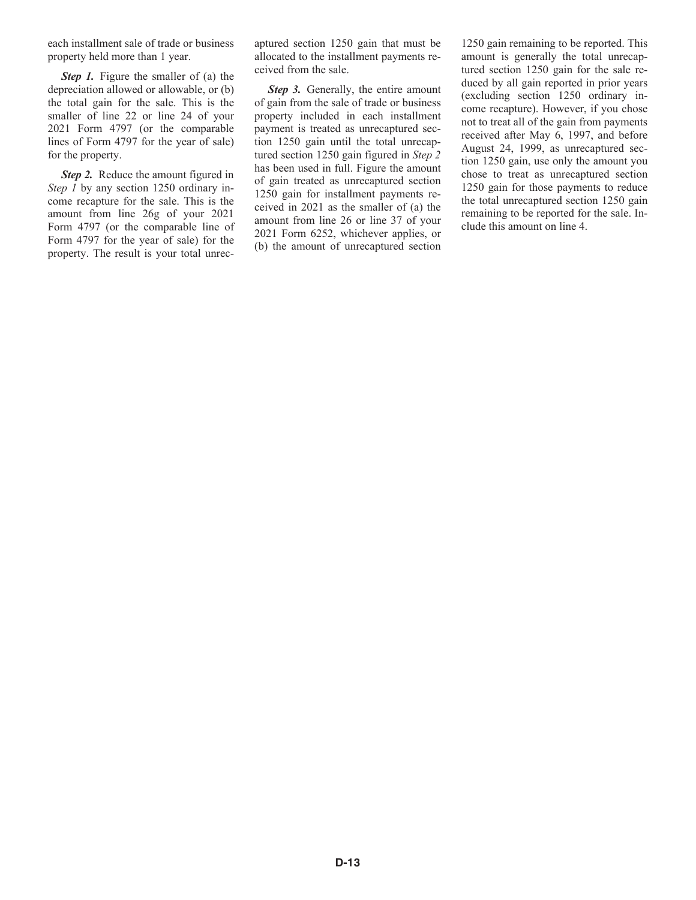each installment sale of trade or business property held more than 1 year.

*Step 1.* Figure the smaller of (a) the depreciation allowed or allowable, or (b) the total gain for the sale. This is the smaller of line 22 or line 24 of your 2021 Form 4797 (or the comparable lines of Form 4797 for the year of sale) for the property.

*Step 2.* Reduce the amount figured in *Step 1* by any section 1250 ordinary income recapture for the sale. This is the amount from line 26g of your 2021 Form 4797 (or the comparable line of Form 4797 for the year of sale) for the property. The result is your total unrecaptured section 1250 gain that must be allocated to the installment payments received from the sale.

*Step 3.* Generally, the entire amount of gain from the sale of trade or business property included in each installment payment is treated as unrecaptured section 1250 gain until the total unrecaptured section 1250 gain figured in *Step 2*  has been used in full. Figure the amount of gain treated as unrecaptured section 1250 gain for installment payments received in 2021 as the smaller of (a) the amount from line 26 or line 37 of your 2021 Form 6252, whichever applies, or (b) the amount of unrecaptured section 1250 gain remaining to be reported. This amount is generally the total unrecaptured section 1250 gain for the sale reduced by all gain reported in prior years (excluding section 1250 ordinary income recapture). However, if you chose not to treat all of the gain from payments received after May 6, 1997, and before August 24, 1999, as unrecaptured section 1250 gain, use only the amount you chose to treat as unrecaptured section 1250 gain for those payments to reduce the total unrecaptured section 1250 gain remaining to be reported for the sale. Include this amount on line 4.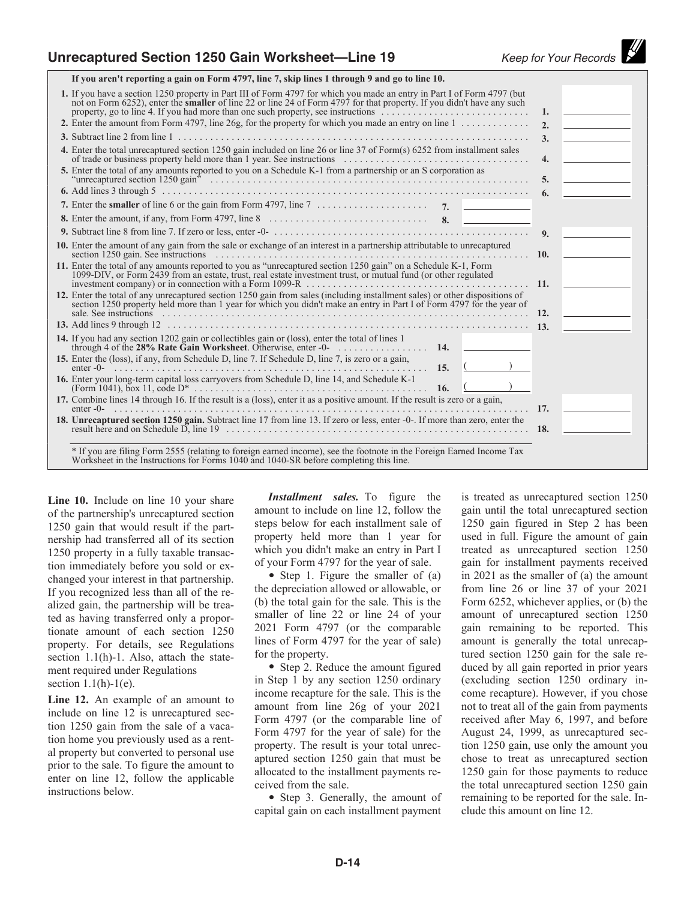**If you aren't reporting a gain on Form 4797, line 7, skip lines 1 through 9 and go to line 10.**

| 1. If you have a section 1250 property in Part III of Form 4797 for which you made an entry in Part I of Form 4797 (but<br>not on Form 6252), enter the <b>smaller</b> of line 22 or line 24 of Form 4797 for that property. If you didn't have any such<br>2. Enter the amount from Form 4797, line 26g, for the property for which you made an entry on line $1, \ldots, \ldots, \ldots$                                                                                             | 1.<br>2.         |  |
|----------------------------------------------------------------------------------------------------------------------------------------------------------------------------------------------------------------------------------------------------------------------------------------------------------------------------------------------------------------------------------------------------------------------------------------------------------------------------------------|------------------|--|
|                                                                                                                                                                                                                                                                                                                                                                                                                                                                                        | $\mathbf{3}$ .   |  |
| 4. Enter the total unrecaptured section 1250 gain included on line 26 or line 37 of Form(s) 6252 from installment sales                                                                                                                                                                                                                                                                                                                                                                | $\overline{4}$ . |  |
| 5. Enter the total of any amounts reported to you on a Schedule K-1 from a partnership or an S corporation as                                                                                                                                                                                                                                                                                                                                                                          | 5.               |  |
|                                                                                                                                                                                                                                                                                                                                                                                                                                                                                        | 6.               |  |
|                                                                                                                                                                                                                                                                                                                                                                                                                                                                                        |                  |  |
|                                                                                                                                                                                                                                                                                                                                                                                                                                                                                        |                  |  |
|                                                                                                                                                                                                                                                                                                                                                                                                                                                                                        | 9 <sub>1</sub>   |  |
| 10. Enter the amount of any gain from the sale or exchange of an interest in a partnership attributable to unrecaptured                                                                                                                                                                                                                                                                                                                                                                | 10.              |  |
| 11. Enter the total of any amounts reported to you as "unrecaptured section 1250 gain" on a Schedule K-1, Form<br>1099-DIV, or Form 2439 from an estate, trust, real estate investment trust, or mutual fund (or other regulated<br>investment company) or in connection with a Form 1099-R $\dots$                                                                                                                                                                                    | 11.              |  |
| 12. Enter the total of any unrecaptured section 1250 gain from sales (including installment sales) or other dispositions of<br>section 1250 property held more than 1 year for which you didn't make an entry in Part I of Form 4797 for the year of<br>sale. See instructions entertainment and the contract of the contract of the sale. See instructions entertainment and the contract of the contract of the contract of the contract of the contract of the contract of the cont | 12.              |  |
|                                                                                                                                                                                                                                                                                                                                                                                                                                                                                        |                  |  |
| 14. If you had any section 1202 gain or collectibles gain or (loss), enter the total of lines 1<br>through 4 of the 28% Rate Gain Worksheet. Otherwise, enter -0- $\ldots \ldots \ldots \ldots$ 14.                                                                                                                                                                                                                                                                                    |                  |  |
| 15. Enter the (loss), if any, from Schedule D, line 7. If Schedule D, line 7, is zero or a gain,<br>. 15. (<br>enter $-0$ -                                                                                                                                                                                                                                                                                                                                                            |                  |  |
| 16. Enter your long-term capital loss carryovers from Schedule D, line 14, and Schedule K-1                                                                                                                                                                                                                                                                                                                                                                                            |                  |  |
| 17. Combine lines 14 through 16. If the result is a (loss), enter it as a positive amount. If the result is zero or a gain,<br>enter $-0$ -                                                                                                                                                                                                                                                                                                                                            | 17.              |  |
| 18. Unrecaptured section 1250 gain. Subtract line 17 from line 13. If zero or less, enter -0-. If more than zero, enter the                                                                                                                                                                                                                                                                                                                                                            |                  |  |
| * If you are filing Form 2555 (relating to foreign earned income), see the footnote in the Foreign Earned Income Tax<br>Worksheet in the Instructions for Forms 1040 and 1040-SR before completing this line.                                                                                                                                                                                                                                                                          |                  |  |

**Line 10.** Include on line 10 your share of the partnership's unrecaptured section 1250 gain that would result if the partnership had transferred all of its section 1250 property in a fully taxable transaction immediately before you sold or exchanged your interest in that partnership. If you recognized less than all of the realized gain, the partnership will be treated as having transferred only a proportionate amount of each section 1250 property. For details, see Regulations section 1.1(h)-1. Also, attach the statement required under Regulations section  $1.1(h)-1(e)$ .

**Line 12.** An example of an amount to include on line 12 is unrecaptured section 1250 gain from the sale of a vacation home you previously used as a rental property but converted to personal use prior to the sale. To figure the amount to enter on line 12, follow the applicable instructions below.

*Installment sales.* To figure the amount to include on line 12, follow the steps below for each installment sale of property held more than 1 year for which you didn't make an entry in Part I of your Form 4797 for the year of sale.

• Step 1. Figure the smaller of (a) the depreciation allowed or allowable, or (b) the total gain for the sale. This is the smaller of line 22 or line 24 of your 2021 Form 4797 (or the comparable lines of Form 4797 for the year of sale) for the property.

• Step 2. Reduce the amount figured in Step 1 by any section 1250 ordinary income recapture for the sale. This is the amount from line 26g of your 2021 Form 4797 (or the comparable line of Form 4797 for the year of sale) for the property. The result is your total unrecaptured section 1250 gain that must be allocated to the installment payments received from the sale.

• Step 3. Generally, the amount of capital gain on each installment payment

is treated as unrecaptured section 1250 gain until the total unrecaptured section 1250 gain figured in Step 2 has been used in full. Figure the amount of gain treated as unrecaptured section 1250 gain for installment payments received in 2021 as the smaller of (a) the amount from line 26 or line 37 of your 2021 Form 6252, whichever applies, or (b) the amount of unrecaptured section 1250 gain remaining to be reported. This amount is generally the total unrecaptured section 1250 gain for the sale reduced by all gain reported in prior years (excluding section 1250 ordinary income recapture). However, if you chose not to treat all of the gain from payments received after May 6, 1997, and before August 24, 1999, as unrecaptured section 1250 gain, use only the amount you chose to treat as unrecaptured section 1250 gain for those payments to reduce the total unrecaptured section 1250 gain remaining to be reported for the sale. Include this amount on line 12.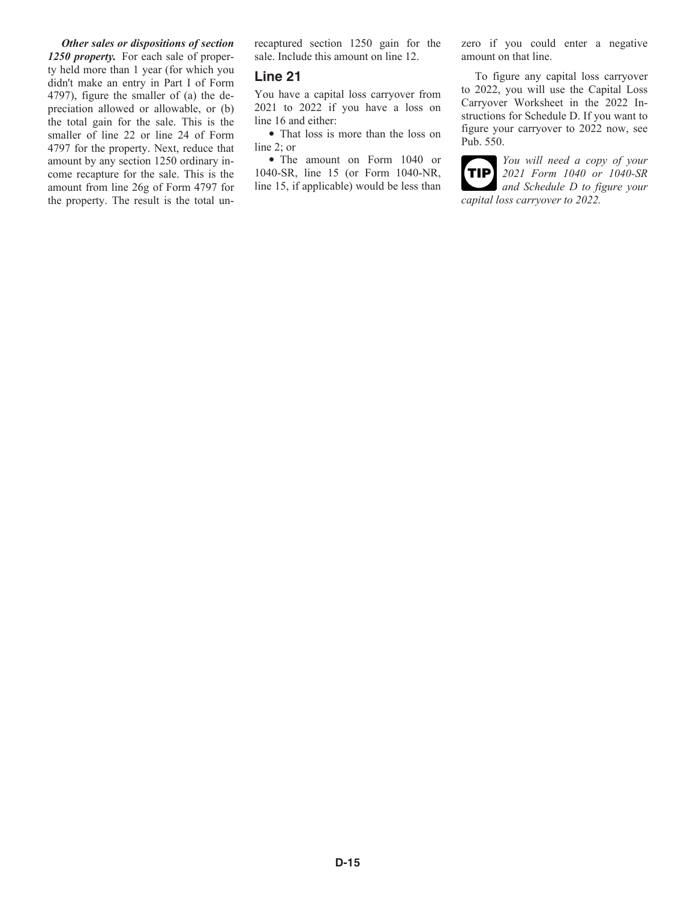*Other sales or dispositions of section 1250 property.* For each sale of property held more than 1 year (for which you didn't make an entry in Part I of Form 4797), figure the smaller of (a) the depreciation allowed or allowable, or (b) the total gain for the sale. This is the smaller of line 22 or line 24 of Form 4797 for the property. Next, reduce that amount by any section 1250 ordinary income recapture for the sale. This is the amount from line 26g of Form 4797 for the property. The result is the total un-

recaptured section 1250 gain for the sale. Include this amount on line 12.

#### **Line 21**

You have a capital loss carryover from 2021 to 2022 if you have a loss on line 16 and either:

• That loss is more than the loss on line 2; or

• The amount on Form 1040 or 1040-SR, line 15 (or Form 1040-NR, line 15, if applicable) would be less than zero if you could enter a negative amount on that line.

To figure any capital loss carryover to 2022, you will use the Capital Loss Carryover Worksheet in the 2022 Instructions for Schedule D. If you want to figure your carryover to 2022 now, see Pub. 550.

*You will need a copy of your 2021 Form 1040 or 1040-SR and Schedule D to figure your capital loss carryover to 2022.* **TIP**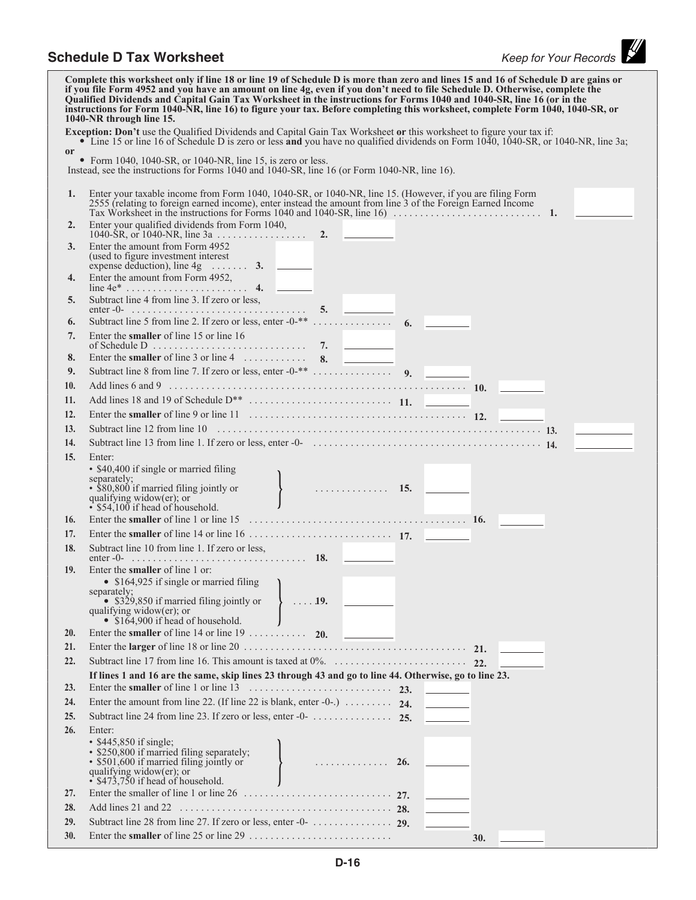# **Schedule D Tax Worksheet** *Keep for Your Records*

|               | Complete this worksheet only if line 18 or line 19 of Schedule D is more than zero and lines 15 and 16 of Schedule D are gains or<br>if you file Form 4952 and you have an amount on line 4g, even if you don't need to file Schedule D. Otherwise, complete the<br>Qualified Dividends and Capital Gain Tax Worksheet in the instructions for Forms 1040 and 1040-SR, line 16 (or in the<br>instructions for Form 1040-NR, line 16) to figure your tax. Before completing this worksheet, complete Form 1040, 1040-SR, or<br>1040-NR through line 15. |
|---------------|--------------------------------------------------------------------------------------------------------------------------------------------------------------------------------------------------------------------------------------------------------------------------------------------------------------------------------------------------------------------------------------------------------------------------------------------------------------------------------------------------------------------------------------------------------|
|               | <b>Exception: Don't</b> use the Qualified Dividends and Capital Gain Tax Worksheet or this worksheet to figure your tax if:<br>• Line 15 or line 16 of Schedule D is zero or less and you have no qualified dividends on Form 1040, 1040-SR, or 1040-NR, line 3a;                                                                                                                                                                                                                                                                                      |
| <sub>or</sub> |                                                                                                                                                                                                                                                                                                                                                                                                                                                                                                                                                        |
|               | • Form 1040, 1040-SR, or 1040-NR, line 15, is zero or less.<br>Instead, see the instructions for Forms 1040 and 1040-SR, line 16 (or Form 1040-NR, line 16).                                                                                                                                                                                                                                                                                                                                                                                           |
| 1.            | Enter your taxable income from Form 1040, 1040-SR, or 1040-NR, line 15. (However, if you are filing Form<br>2555 (relating to foreign earned income), enter instead the amount from line 3 of the Foreign Earned Income                                                                                                                                                                                                                                                                                                                                |
| 2.            | Enter your qualified dividends from Form 1040,                                                                                                                                                                                                                                                                                                                                                                                                                                                                                                         |
| 3.            | Enter the amount from Form 4952<br>(used to figure investment interest)<br>expense deduction), line $4g$ 3.                                                                                                                                                                                                                                                                                                                                                                                                                                            |
| 4.            |                                                                                                                                                                                                                                                                                                                                                                                                                                                                                                                                                        |
| 5.            | Subtract line 4 from line 3. If zero or less,                                                                                                                                                                                                                                                                                                                                                                                                                                                                                                          |
| 6.            |                                                                                                                                                                                                                                                                                                                                                                                                                                                                                                                                                        |
| 7.            | Enter the smaller of line 15 or line 16                                                                                                                                                                                                                                                                                                                                                                                                                                                                                                                |
| 8.            | Enter the smaller of line 3 or line 4 $\ldots$ 8.                                                                                                                                                                                                                                                                                                                                                                                                                                                                                                      |
| 9.            |                                                                                                                                                                                                                                                                                                                                                                                                                                                                                                                                                        |
| 10.           | Add lines 6 and 9 $\ldots$ $\ldots$ $\ldots$ $\ldots$ $\ldots$ $\ldots$ $\ldots$ $\ldots$ $\ldots$ $\ldots$ $\ldots$ $\ldots$ $\ldots$ $\ldots$ $\ldots$ $\ldots$                                                                                                                                                                                                                                                                                                                                                                                      |
| 11.           |                                                                                                                                                                                                                                                                                                                                                                                                                                                                                                                                                        |
| 12.           |                                                                                                                                                                                                                                                                                                                                                                                                                                                                                                                                                        |
| 13.           |                                                                                                                                                                                                                                                                                                                                                                                                                                                                                                                                                        |
| 14.           |                                                                                                                                                                                                                                                                                                                                                                                                                                                                                                                                                        |
| 15.           | Enter:                                                                                                                                                                                                                                                                                                                                                                                                                                                                                                                                                 |
|               | • \$40,400 if single or married filing<br>• \$40,400 if single or married ming<br>separately;<br>• \$80,800 if married filing jointly or<br>• \$80,800 if married filing jointly or<br><br>• <b>15.</b><br>$\cdot$ \$54,100 if head of household.                                                                                                                                                                                                                                                                                                      |
| 16.           |                                                                                                                                                                                                                                                                                                                                                                                                                                                                                                                                                        |
| 17.           |                                                                                                                                                                                                                                                                                                                                                                                                                                                                                                                                                        |
| 18.           | Subtract line 10 from line 1. If zero or less,                                                                                                                                                                                                                                                                                                                                                                                                                                                                                                         |
| 19.           | Enter the <b>smaller</b> of line 1 or:<br>• $$164,925$ if single or married filing $\qquad$<br>separately;<br>• \$329,850 if married filing jointly or $\{ \ldots, 19, \ldots \}$<br>qualifying widow( $er$ ); or<br>• \$164,900 if head of household.                                                                                                                                                                                                                                                                                                 |
| 20.           | Enter the smaller of line 14 or line 19 $\ldots$ 20.                                                                                                                                                                                                                                                                                                                                                                                                                                                                                                   |
| 21.           |                                                                                                                                                                                                                                                                                                                                                                                                                                                                                                                                                        |
| 22.           |                                                                                                                                                                                                                                                                                                                                                                                                                                                                                                                                                        |
|               | If lines 1 and 16 are the same, skip lines 23 through 43 and go to line 44. Otherwise, go to line 23.                                                                                                                                                                                                                                                                                                                                                                                                                                                  |
| 23.           |                                                                                                                                                                                                                                                                                                                                                                                                                                                                                                                                                        |
| 24.           | Enter the amount from line 22. (If line 22 is blank, enter -0-.) $\ldots \ldots$ 24.                                                                                                                                                                                                                                                                                                                                                                                                                                                                   |
| 25.           |                                                                                                                                                                                                                                                                                                                                                                                                                                                                                                                                                        |
| 26.           | Enter:<br>$\cdot$ \$445,850 if single;<br>$\cdot$ \$250,800 if married filing separately;<br>$\cdot$ \$501,600 if married filing jointly or<br>available widow(er): or<br>qualifying widow( $er$ ); or<br>$\cdot$ \$473,750 if head of household.                                                                                                                                                                                                                                                                                                      |
| 27.           |                                                                                                                                                                                                                                                                                                                                                                                                                                                                                                                                                        |
| 28.           |                                                                                                                                                                                                                                                                                                                                                                                                                                                                                                                                                        |
| 29.           |                                                                                                                                                                                                                                                                                                                                                                                                                                                                                                                                                        |
| 30.           | <b>30.</b>                                                                                                                                                                                                                                                                                                                                                                                                                                                                                                                                             |